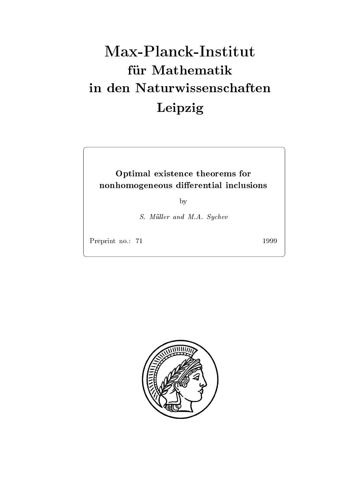# Max-Planck-Institut für Mathematik Leipzig

## Optimal existence theorems for non homogeneous die eerste die van die die eerste die eerste van die eerste konstantial in die eerste konstant

by

S. Müller and M.A. Sychev

Preprint no.: 71

1999

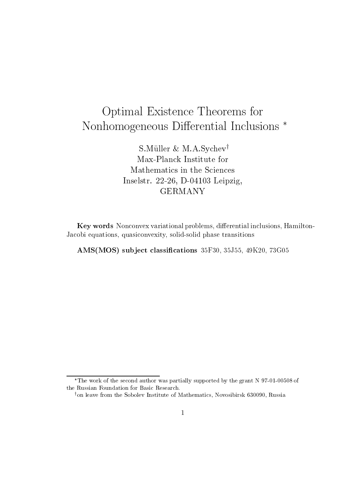## Optimal Existence Theorems for the Theorems for the Theorems for the Theorems for the Theorems for the Theorems for Nonhomogeneous Dierential Inclusions

 $S$ . Muller  $\alpha$  M.A. Sychevy Max-Planck Institute for Mathematics in the Sciences Inselstr D Leipzig

Key words Nonconvex variational problems, differential inclusions, Hamilton-Jacobi equations quasiconvexity solid-solid phase transitions

AMSMOS sub ject classi-cations F J K G

The work of the second author was partially supported by the grant N  $97$ -01-00508 of the Russian Foundation for Basic Research

on leave from the Sobolev Institute of Mathematics. Novosibirsk b30090. Kussia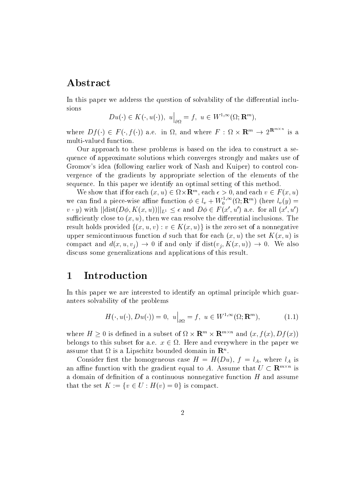## Abstract

In this paper we address the question of solvability of the differential inclusions

$$
Du(\cdot) \in K(\cdot, u(\cdot)), \ u\Big|_{\partial\Omega} = f, \ u \in W^{1,\infty}(\Omega; \mathbf{R}^m),
$$

where  $Df(\cdot) \in F(\cdot, f(\cdot))$  a.e. in  $\Omega$ , and where  $F: \Omega \times \mathbf{R}^m \to 2^{\mathbf{R}^{m \times m}}$  is a

Our approach to these problems is based on the idea to construct a sequence of approximate solutions which converges strongly and makes use of Gromov's idea (following earlier work of Nash and Kuiper) to control convergence of the gradients by appropriate selection of the elements of the sequence. In this paper we identify an optimal setting of this method.

We show that if for each  $(x, u) \in \Omega \times \mathbb{R}^n$ , each  $\epsilon > 0$ , and each  $v \in F(x, u)$ we can find a piece-wise affine function  $\phi \in l_v + W_0^{1,\infty}(\Omega; \mathbf{R}^m)$  (here  $l_v(y) =$  $v \cdot y$ ) with  $||\text{dist}(D\phi, K(x, u))||_{L^1} \leq \epsilon$  and  $D\phi \in F(x', u')$  a.e. for all  $(x', u')$ sufficiently close to  $(x, u)$ , then we can resolve the differential inclusions. The result holds provided  $\{(x, u, v) : v \in K(x, u)\}$  is the zero set of a nonnegative upper semicontinuous function d such that for each  $(x, u)$  the set  $K(x, u)$  is compact and  $d(x, u, v_i) \to 0$  if and only if  $dist(v_i, K(x, u)) \to 0$ . We also discuss some generalizations and applications of this result

#### $\mathbf 1$ Introduction

In this paper we are interested to identify an optimal principle which guarantees solvability of the problems

$$
H(\cdot, u(\cdot), Du(\cdot)) = 0, \ u\Big|_{\partial\Omega} = f, \ u \in W^{1,\infty}(\Omega; \mathbf{R}^m), \tag{1.1}
$$

where  $H > 0$  is defined in a subset of  $\Omega \times \mathbf{R}^m \times \mathbf{R}^{m \times n}$  and  $(x, f(x), Df(x))$ belongs to this subset for a.e.  $x \in \Omega$ . Here and everywhere in the paper we assume that  $\Omega$  is a Lipschitz bounded domain in  $\mathbb{R}^n$ .

Consider first the homogeneous case  $H = H(Du)$ ,  $f = l<sub>A</sub>$ , where  $l<sub>A</sub>$  is an affine function with the gradient equal to A. Assume that  $U \subset \mathbf{R}^{m \times n}$  is a domain of definition of a continuous nonnegative function  $H$  and assume that the set  $K := \{v \in U : H(v) = 0\}$  is compact.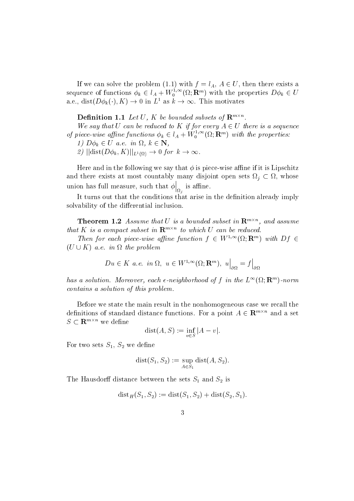If we can solve the problem (1.1) with  $j = i_A, A \in U$ , then there exists a sequence of functions  $\phi_k \in l_A + W_0^{1,\infty}(\Omega;\mathbf{R}^m)$  with the properties  $D\phi_k \in U$ If we can solve the problem (1.1) with  $f = l_A$ ,  $A \in U$ , then th<br>sequence of functions  $\phi_k \in l_A + W_0^{1,\infty}(\Omega; \mathbf{R}^m)$  with the propertie<br>a.e., dist $(D\phi_k(\cdot), K) \to 0$  in  $L^1$  as  $k \to \infty$ . This motivates

**Definition 1.1** Let U, K be bounded subsets of  $\mathbf{R}^{m \times n}$ .

We say that U can be reduced to K if for every  $A \in U$  there is a sequence of piece-wise affine functions  $\phi_k \in l_A + W_0^{1,\infty}(\Omega; \mathbf{R}^m)$  with the properties: tions  $\phi_k \in l_A + W_0^{1,\infty}(\Omega; \mathbb{R})$ <br>  $\Omega, k \in \mathbb{N}$ ,<br>  $\omega \to 0$  for  $k \to \infty$ .

1)  $D\phi_k \in U$  a.e. in  $\Omega, k \in \mathbb{N}$ ,

2)  $||\text{dist}(D\phi_k, K)||_{L^1(\Omega)} \to 0$  for  $k \to \infty$ .

Here and in the following we say that is piece-wise ane if it is Lipschitz and there exists at most countably many disjoint open sets  $\Omega_i \subset \Omega$ , whose union has full measure such that the full measure such that the such that the such that  $\alpha$  $\Big|_{\Omega_i}$  is affine.

It turns out that the conditions that arise in the definition already imply solvability of the differential inclusion.

**Theorem 1.2** Assume that U is a bounded subset in  $\mathbb{R}^{m \times n}$ , and assume that K is a compact subset in  $\mathbf{R}^{m \times n}$  to which U can be reduced.

Then for each piece-wise affine function  $f \in W^{1,\infty}(\Omega; \mathbf{R}^m)$  with  $Df \in$  $(U \cup K)$  a.e. in  $\Omega$  the problem

$$
Du \in K \ a.e. \ in \ \Omega, \ u \in W^{1,\infty}(\Omega; \mathbf{R}^m), \ u\Big|_{\partial\Omega} = f\Big|_{\partial\Omega}
$$

has a solution. Moreover, each  $\epsilon$ -neighborhood of f in the  $L^{\infty}(\Omega; \mathbf{R}^m)$ -norm contains a solution of this problem

Before we state the main result in the nonhomogeneous case we recall the definitions of standard distance functions. For a point  $A \in \mathbf{R}^{m \times n}$  and a set  $S \subset \mathbf{R}^{m \times n}$  we define

$$
dist(A, S) := \inf_{v \in S} |A - v|.
$$

For two sets  $S_1, S_2$  we define

$$
dist(S_1, S_2) := \sup_{A \in S_1} dist(A, S_2).
$$

The Hausdorff distance between the sets  $S_1$  and  $S_2$  is

$$
dist_H(S_1, S_2) := dist(S_1, S_2) + dist(S_2, S_1).
$$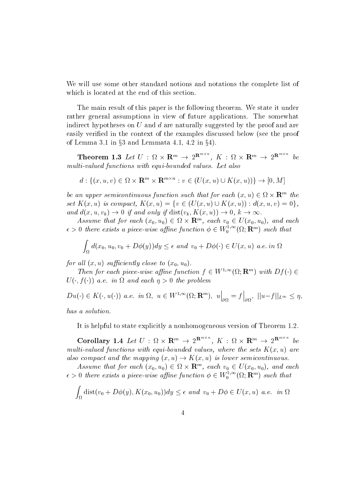We will use some other standard notions and notations the complete list of which is located at the end of this section

The main result of this paper is the following theorem. We state it under rather general assumptions in view of future applications. The somewhat indirect hypotheses on  $U$  and  $d$  are naturally suggested by the proof and are easily verified in the context of the examples discussed below (see the proof of Lemma 5.1 in §5 and Lemmata 4.1, 4.2 in §4).

**Theorem 1.3** Let  $U : \Omega \times \mathbf{R}^m \to 2^{\mathbf{R}^{m\times m}}$ .  $K : \Omega \times \mathbf{R}^m \to 2^{\mathbf{R}^{m\times m}}$  be multi-valued functions with equi-bounded values Let also nded values. Let also<br>  $v : v \in (U(x, u) \cup K(x, u)) \} \rightarrow [0, M]$ 

$$
d: \{(x, u, v) \in \Omega \times \mathbf{R}^m \times \mathbf{R}^{m \times n} : v \in (U(x, u) \cup K(x, u))\} \to [0, M]
$$

be an upper semicontinuous function such that for each  $(x, u) \in \Omega \times \mathbf{R}^m$  the set  $\mathbf{A}(x, u)$  is compact,  $\mathbf{A}(x, u) = \{v \in (U(x, u) \cup \mathbf{A}(x, u)) : a(x, u, v) = 0\}$ , be an upper semicontinuous function such that for each  $(x, u) \in \Omega \times \mathbf{F}$ <br>set  $K(x, u)$  is compact,  $K(x, u) = \{v \in (U(x, u) \cup K(x, u)) : d(x, u, v)$ <br>and  $d(x, u, v_k) \to 0$  if and only if  $dist(v_k, K(x, u)) \to 0, k \to \infty$ .

Assume that for each  $(x_0, u_0) \in \Omega \times \mathbf{R}^n$ , each  $v_0 \in U(x_0, u_0)$ , and each  $\epsilon > 0$  there exists a piece-wise affine function  $\phi \in W_0^{1,\infty}(\Omega; \mathbf{R}^m)$  such that

$$
\int_{\Omega} d(x_0, u_0, v_0 + D\phi(y)) dy \le \epsilon \text{ and } v_0 + D\phi(\cdot) \in U(x, u) \text{ a.e. in } \Omega
$$

for al l x u suciently close to x- u-

Then for each piece-wise affine function  $f \in W^{1,\infty}(\Omega; \mathbb{R}^m)$  with  $Df(\cdot) \in$  $U(\cdot, I(\cdot))$  a.e. in  $\Omega$  and each  $\eta > 0$  the problem

 $Du(\cdot) \in K(\cdot, u(\cdot))$  a.e. in  $\Omega, u \in W^{1,\infty}(\Omega; \mathbf{R}^m), u \vert = f \vert$  $\Big|_{\partial\Omega}=f\Big|_{\partial\Omega},\,\,\left|\left|u-f\right|\right|$  $\Big|_{\partial\Omega},\|u-f\|_{L^\infty}\leq\eta,$ 

has a solution

It is helpful to state explicitly a nonhomogeneous version of Theorem

Corollary 1.4 Let  $U : \Omega \times \mathbf{R}^m \to 2^{\mathbf{R}^{m \times m}}$ .  $K : \Omega \times \mathbf{R}^m \to 2^{\mathbf{R}^{m \times m}}$  be multi-valued functions with equi-bounded values where the sets Kx u are also compact and the mapping  $(x, u) \rightarrow K(x, u)$  is lower semicontinuous.

Assume that for each  $(x_0, u_0) \in \Omega \times \mathbf{R}^n$ , each  $v_0 \in U(x_0, u_0)$ , and each  $\epsilon > 0$  there exists a piece-wise affine function  $\phi \in W_0^{1,\infty}(\Omega; \mathbf{R}^m)$  such that

$$
\int_{\Omega} \text{dist}(v_0 + D\phi(y), K(x_0, u_0)) dy \le \epsilon \text{ and } v_0 + D\phi \in U(x, u) \text{ a.e. in } \Omega
$$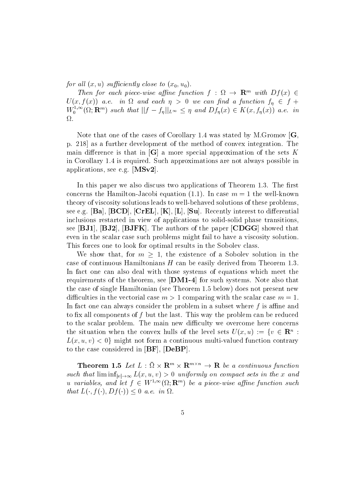for al l x u suciently close to x- u-

Then for each piece-wise affine function f :  $\Omega \rightarrow \mathbf{R}^m$  with  $Df(x) \in$  $U(x, f(x))$  a.e. in  $\Omega$  and each  $\eta > 0$  we can find a function  $f_n \in f + 1$  $W_0^{1,\infty}(\Omega;\mathbf{R}^m)$  such that  $||f - f_\eta||_{L^\infty} \leq \eta$  and  $Df_\eta(x) \in K(x, f_\eta(x))$  a.e. in Ω.

Note that one of the cases of Corollary was stated by MGromov G p as a further development of the method of convex integration The main difference is that in  $[G]$  a more special approximation of the sets K in Corollary is required Such approximations are not always possible in applications, see e.g.  $[MSv2]$ .

In this paper we also discuss two applications of Theorem The rst reconcerns the Hamilton-Hamilton-Hamilton-Hamilton-Hamilton-Hamilton-Hamilton-Hamilton-Hamilton-Hamilton-Hamil theory of viscosity solutions leads to well-behaved solutions of these problems see e.g.  $[\text{Ba}]$ ,  $[\text{BCD}]$ ,  $[\text{CrEL}]$ ,  $[\text{K}]$ ,  $[\text{L}]$ ,  $[\text{Su}]$ . Recently interest to differential inclusions restarted in view of applications to solid-solid phase transitions see  $[BJ1], [BJ2], [BJFK]$ . The authors of the paper  $[CDGG]$  showed that even in the scalar case such problems might fail to have a viscosity solution This forces one to look for optimal results in the Sobolev class

We show that, for  $m > 1$ , the existence of a Sobolev solution in the case of continuous Hamiltonians Hamiltonians Hamiltonians Hamiltonians Hamiltonians H can be easily derived from Theorem In fact one can also deal with those systems of equations which meet the requirements of the theorem, see  $|\mathbf{DM1-4}|$  for such systems. Note also that the case of single Hamiltonian see Theorem below does not present new diculties in the vectorial case m -  $\mathbf{r}$  and  $\mathbf{r}$  are m -  $\mathbf{r}$  and  $\mathbf{r}$  and  $\mathbf{r}$ In fact one can always consider the problem in a subset where  $f$  is affine and to fix all components of f but the last. This way the problem can be reduced to the scalar problem. The main new difficulty we overcome here concerns the situation when the convex hulls of the level sets  $U(x, u) := \{v \in \mathbb{R}^n :$  $L(x, u, v) < 0$  might not form a continuous multi-valued function contrary to the case considered in  $[BF]$ ,  $[DeBP]$ .

**Theorem 1.5** Let  $L : \Omega \times \mathbf{R}^m \times \mathbf{R}^{m \times n} \to \mathbf{R}$  be a continuous function such that  $\liminf_{|v|\to\infty} L(x,u,v) > 0$  uniformly on compact sets in the x and u variables, and let  $f \in W^{1,\infty}(\Omega; \mathbf{R}^m)$  be a piece-wise affine function such that  $L(\cdot, f(\cdot), Df(\cdot)) \leq 0$  a.e. in  $\Omega$ .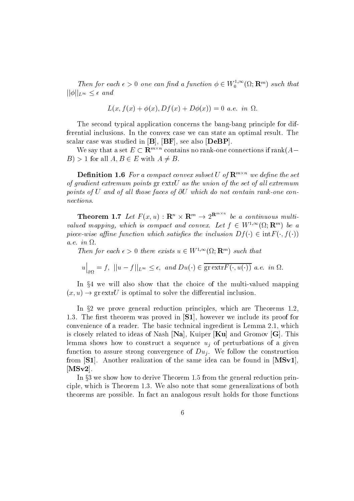Then for each  $\epsilon > 0$  one can find a function  $\phi \in W_0^{1,\infty}(\Omega; \mathbf{R}^m)$  such that  $||\phi||_{L^{\infty}} \leq \epsilon$  and

$$
L(x, f(x) + \phi(x), Df(x) + D\phi(x)) = 0 \ a.e. \ in \ \Omega.
$$

The second typical application concerns the bang-bang principle for differential inclusions In the convex case we can state an optimal result The scalar case was studied in  $[B], [BF]$ , see also  $[Deep]$ .

We say that a set  $E \subset \mathbf{R}^{m \times n}$  contains no rank-one connections if  $\mathrm{rank}(A B \mid D \mid D$  i for all  $A, B \in E$  with  $A \neq B$ .

**Definition 1.6** For a compact convex subset U of  $\mathbf{R}^{m \times n}$  we define the set of gradient extremum points  $gr \, extrU$  as the union of the set of all extremum points of U and of al l those faces of U which do not contain rank-one connections

**Theorem 1.7** Let  $F(x, u) : \mathbf{R}^n \times \mathbf{R}^m \to 2^{\mathbf{R}^{n \times n}}$  be a continuous multivalued mapping, which is compact and convex. Let  $f \in W^{1,\infty}(\Omega; \mathbf{R}^m)$  be a piece-wise affine function which satisfies the inclusion  $D^f(\cdot) \in \text{Int} F(\cdot, f(\cdot))$ a.e. in  $\Omega$ .

Then for each  $\epsilon > 0$  there exists  $u \in W^{1,\infty}(\Omega; \mathbf{R}^m)$  such that

$$
u\Big|_{\partial\Omega}=f,\ \ ||u-f||_{L^\infty}\leq \epsilon,\ \ and\ Du(\cdot)\in\overline{\mathrm{gr\,extr}F(\cdot,u(\cdot))}\ \ a.e.\ \ in\ \Omega.
$$

In 34 we will also show that the choice of the multi-valued mapping  $(x, u) \rightarrow \text{gr} \, \text{extr} U$  is optimal to solve the differential inclusion.

In  $\,$  we prove general reduction principles, which are Theorems 1.2,  $\,$  The rst theorem was proved in S however we include its proof for convenience of a reader Theorem  $\alpha$  reader the basic technical ingredient is  $\alpha$ is closely related to ideas of Nash  $[Na]$ , Kuiper  $[Ku]$  and Gromov  $[G]$ . This lemma shows how to construct a sequence  $u_i$  of perturbations of a given function to assure strong convergence of  $Du_i$ . We follow the construction from  $\mathbf{S1}$ . Another realization of the same idea can be found in  $\mathbf{MSv1}$ ,  $[MSv2].$ 

In 35 we show how to derive Theorem 1.5 from the general reduction principles, which is Theorem States and which is the some general of both some generalizations of both some theorems are possible In fact an analogous result holds for those functions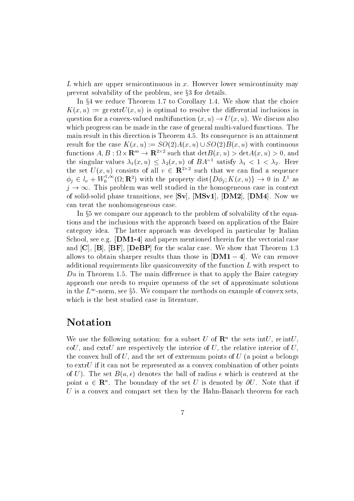L which are upper semicontinuous in  $x$ . However lower semicontinuity may prevent solvability of the problem, see  $\S 3$  for details.

In  $\S 4$  we reduce Ineorem 1.7 to Corollary 1.4. We show that the choice  $K(x, u) := \text{gr} \exp U(x, u)$  is optimal to resolve the differential inclusions in question for a convex-valued multifunction  $(x, u) \rightarrow U(x, u)$ . We discuss also which progress can be made in the case of general multi-valued functions The main result in this direction is Theorem 4.5. Its consequence is an attainment result for the case  $K(x, u) := SO(2)A(x, u) \cup SO(2)B(x, u)$  with continuous functions  $A, B: \Omega \times \mathbf{R}^m \to \mathbf{R}^{2 \times 2}$  such that  $\det B(x, u) > \det A(x, u) > 0$ , and the singular values  $\lambda_1(x, u) \leq \lambda_2(x, u)$  of  $BA^{-1}$  satisfy  $\lambda_1 < 1 < \lambda_2$ . Here the set  $U(x, u)$  consists of all  $v \in \mathbb{R}^{2 \times 2}$  such that we can find a sequence  $\phi_j \in l_v + W_0^{1,\infty}(\Omega; \mathbf{R}^2)$  with the property  $dist\{D\phi_j; K(x,u)\} \to 0$  in  $L^1$  as the set  $U(x, u)$  consists of all  $v \in \mathbb{R}^{2 \times 2}$  such that we can find a sequence  $\phi_j \in l_v + W_0^{1, \infty}(\Omega; \mathbb{R}^2)$  with the property  $dist\{D\phi_j; K(x, u)\} \to 0$  in  $L^1$  as  $i \to \infty$ . This problem was well studied in the homoge of solid-solid phase transitions see Sv MSv DM DM Now we can treat the nonhomogeneous case

In §5 we compare our approach to the problem of solvability of the equations and the inclusions with the approach based on application of the Baire category idea The latter approach was developed in particular by Italian School, see e.g.  $\mathbf{[DM1-4]}$  and papers mentioned therein for the vectorial case and CB BF DeBP for the scalar case We show that Theorem allows to obtain sharper results than those in  $\text{[DM1--4]}$ . We can remove additional requirements like quasiconvexity of the function  $L$  with respect to Du in Theorem The main dierence is that to apply the Baire category approach one needs to require openness of the set of approximate solutions in the  $L^{\infty}$ -norm, see §5. We compare the methods on example of convex sets, which is the best studied case in literature

## Notation

We use the following notation: for a subset U of  $\mathbf{R}^n$  the sets intucoU, and extrU are respectively the interior of U, the relative interior of U, the convex hull of U, and the set of extremum points of U (a point a belongs to  $ext{U}$  if it can not be represented as a convex combination of other points of U). The set  $B(a, \epsilon)$  denotes the ball of radius  $\epsilon$  which is centered at the point  $a \in \mathbf{R}^n$ . The boundary of the set  $U$  is denoted by  $\partial U$ . Note that if U is a convex and compact set then by the Hahn-Banach theorem for each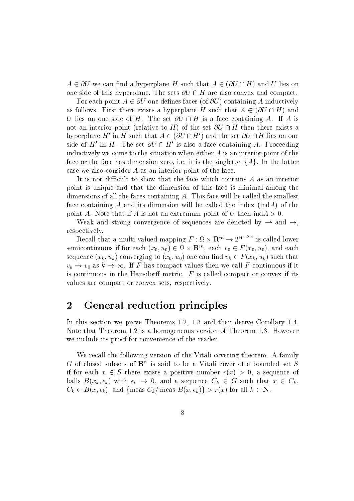$A \in \partial U$  we can find a hyperplane H such that  $A \in (\partial U \cap H)$  and U lies on one side of this hyperplane. The sets  $\partial U \cap H$  are also convex and compact.

For each point  $A \in \partial U$  one defines faces (of  $\partial U$ ) containing A inductively as follows. First there exists a hyperplane H such that  $A \in (\partial U \cap H)$  and U lies on one side of H. The set  $\partial U \cap H$  is a face containing A. If A is not an interior point (relative to H) of the set  $\partial U \cap H$  then there exists a hyperplane H' in H such that  $A \in (\partial U \cap H')$  and the set  $\partial U \cap H$  lies on one side of H' in H. The set  $\partial U \cap H'$  is also a face containing A. Proceeding inductively we come to the situation when either A is an interior point of the face or the face has dimension zero, i.e. it is the singleton  $\{A\}$ . In the latter case we also consider  $A$  as an interior point of the face.

It is not difficult to show that the face which contains  $A$  as an interior point is unique and that the dimension of this face is minimal among the dimensions of all the faces containing  $A$ . This face will be called the smallest face containing A and its dimension will be called the index  $(indA)$  of the point A note that if A is no the most of the indicated indicated by a is not an extremely and U theory of U th

Weak and strong convergence of sequences are denoted by  $\rightarrow$  and  $\rightarrow$ , respectively

Recall that a multi-valued mapping  $F : \Omega \times \mathbf{R}^m \to 2^{\mathbf{R}^{m \times m}}$  is called lower semicontinuous if for each  $(x_0, u_0) \in \Omega \times \mathbf{R}^n$ , each  $v_0 \in F(x_0, u_0)$ , and each sequence  $(x_k, u_k)$  converging to  $(x_0, u_0)$  one can find  $v_k \in F(x_k, u_k)$  such that  $v_k \to v_0$  as  $k \to \infty$ . If F has compact values then we call F continuous if it inuous if for each  $(x_0, u_0) \in \Omega \times \mathbb{R}^m$ , each  $v_0 \in F(x_0, u_0)$ , and each  $(x_k, u_k)$  converging to  $(x_0, u_0)$  one can find  $v_k \in F(x_k, u_k)$  such that as  $k \to \infty$ . If F has compact values then we call F continuous if it is continuous in the Hausdorff metric.  $F$  is called compact or convex if its values are compact or convex sets, respectively.

### 2 General reduction principles

In this section we prove Theorems are more than the section we prove Theorems are the second then derive Corollary Note that Theorem is a homogeneous version of Theorem However we include its proof for convenience of the reader

We recall the following version of the Vitali covering theorem. A family G of closed subsets of  $\mathbf{R}^n$  is said to be a vitali cover of a bounded set  $S$ if for each  $x \in S$  there exists a positive number  $r(x) > 0$ , a sequence of balls  $B(x_k, \epsilon_k)$  with  $\epsilon_k \to 0$ , and a sequence  $C_k \in G$  such that  $x \in C_k$ ,  $C_k \subset B(x, \epsilon_k)$ , and {meas  $C_k$ / meas  $B(x, \epsilon_k)$ } >  $r(x)$  for all  $k \in \mathbb{N}$ .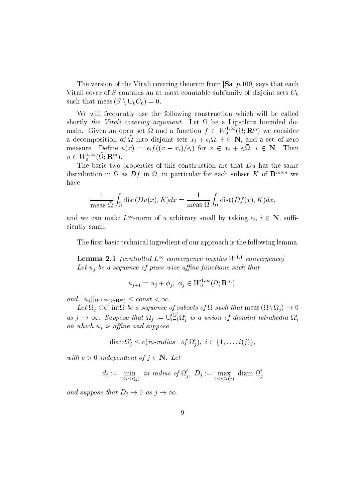The version of the Vitali covering theorem from Sa parameters that each  $\alpha$  parameters that each parameters  $\alpha$  $\alpha$  cover of S contains and at most contains at most countable subfamily of disjoint sets  $\alpha$   $\alpha$ The version of the Vitali covering<br>Vitali cover of S contains an at mos<br>such that meas  $(S \setminus \bigcup_k C_k) = 0$ .

We will frequently use the following construction which will be called shortly the Vitali covering argument. Let  $\Omega$  be a Lipschitz bounded domain. Given an open set  $\Omega$  and a function  $f \in W_0^{1,\infty}(\Omega;{\bf R}^m)$  we consider a decomposition of  $\Omega$  into disjoint sets  $x_i + \epsilon_i \Omega$ ,  $i \in \mathbb{N}$ , and a set of zero measure. Denne  $u(x) = \epsilon_i f((x - x_i)/\epsilon_i)$  for  $x \in x_i + \epsilon_i$ sz,  $i \in \mathbb{N}$ . Then  $u \in W_0^{1,\infty}(\Omega; \mathbf{R}^m).$ 

The basic two properties of this construction are that Du has the same distribution in  $\Omega$  as  $Df$  in  $\Omega$ , in particular for each subset K of  $\mathbf{R}^{m\times n}$  we have

$$
\frac{1}{\text{meas }\tilde{\Omega}}\int_{\tilde{\Omega}}\text{dist}(Du(x),K)dx = \frac{1}{\text{meas }\Omega}\int_{\Omega}\text{dist}(Df(x),K)dx,
$$

and we can make  $L^{\infty}$ -norm of u arbitrary small by taking  $\epsilon_i, i \in \mathbb{N}$ , sufficiently small

The first basic technical ingredient of our approach is the following lemma.

**Lemma 2.1** (controlled  $L^{\infty}$  convergence implies  $W^{1,1}$  convergence) Let uj be <sup>a</sup> sequence ofpiece-wise ane functions such that

$$
u_{j+1} = u_j + \phi_j, \ \phi_j \in W_0^{1,\infty}(\Omega; \mathbf{R}^m),
$$

and  $||u_j||_{W^{1,\infty}(\Omega;\mathbf{R}^m)} \leq const < \infty$ .

Let  $\Omega_i \subset \subset \text{int}\Omega$  be a sequence of subsets of  $\Omega$  such that meas  $(\Omega \setminus \Omega_i) \to 0$ as  $j \to \infty$ . Suppose that  $\Omega_j := \cup_{i=1}^\infty \Omega_i^i$  is a union of disjoint tetrahedra  $\Omega_j^i$ on which  $u_i$  is affine and suppose  $i_j$ ),  $i \in \{1, ...$ 

$$
\text{diam}\Omega_j^i \le c \left( in\text{-}radius \quad \text{of } \Omega_j^i \right), \ i \in \{1, \dots, i(j)\},
$$

with  $c > 0$  independent of  $j \in \mathbb{N}$ . Let

$$
d_j := \min_{1 \le i \le i(j)} \text{ in-radius of } \Omega_j^i, \ D_j := \max_{1 \le i \le i(j)} \text{ diam } \Omega_j^i
$$

and suppose that  $D_i \to 0$  as  $j \to \infty$ .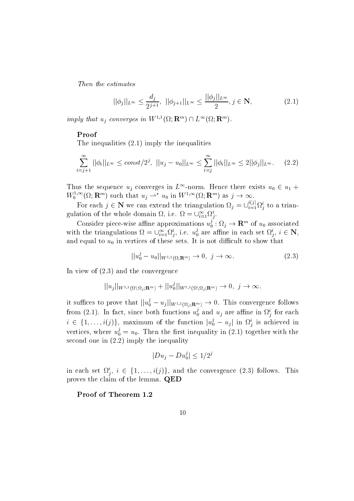Then the estimates

$$
||\phi_j||_{L^{\infty}} \le \frac{d_j}{2^{j+1}}, \ ||\phi_{j+1}||_{L^{\infty}} \le \frac{||\phi_j||_{L^{\infty}}}{2}, j \in \mathbf{N},
$$
\n(2.1)

imply that  $u_i$  converges in  $W^{1,1}(\Omega; \mathbf{R}^m) \cap L^{\infty}(\Omega; \mathbf{R}^m)$ .

#### Proof

 $\mathbf{I}$  is the inequalities of inequalities in the inequalities of inequalities  $\mathbf{I}$ 

$$
\sum_{i=j+1}^{\infty} ||\phi_i||_{L^{\infty}} \le const/2^j, \ ||u_j - u_0||_{L^{\infty}} \le \sum_{i=j}^{\infty} ||\phi_i||_{L^{\infty}} \le 2||\phi_j||_{L^{\infty}}.
$$
 (2.2)

Thus the sequence  $u_j$  converges in  $L^{\infty}$ -norm. Hence there exists  $u_0 \in u_1 +$  $W_0^{1,\infty}(\Omega;\mathbf{R}^m)$  such that  $u_j \rightharpoonup^* u_0$  in  $W^{1,\infty}(\Omega;\mathbf{R}^m)$  as  $j \to \infty$  $\frac{1}{\cos \theta}$  as  $i \to \infty$ .

For each  $j \in \mathbb{N}$  we can extend the triangulation  $\Omega_j = \bigcup_{i=1}^{\infty} \Omega_j^i$  to a triangulation of the whole domain  $\Omega$ , i.e.  $\Omega = \cup_{i=1}^{\infty} \Omega_i^i$ .

Consider piece-wise affine approximations  $u_0: \Omega_i \to \Gamma$  $\mathfrak{g}_0: \Omega_j \to \mathbf{R}$  or  $u_0$  associated with the triangulations  $\Omega = \cup_{i=1}^{\infty} \Omega_i^i$ , i.e.  $u_0^j$  are affin  $\zeta_0$  are annie in each set  $\iota_i$ ,  $i \in \mathbb{N}$ , and equal to up on the sets it is not to set to show the sets in vertices of the sets it is not to sets. It is not difficult to show that<br>  $R_{(\Omega:\mathbf{R}^m)} \to 0, j \to \infty.$  (2.3)

$$
||u_0^j - u_0||_{W^{1,1}(\Omega; \mathbf{R}^m)} \to 0, \ j \to \infty.
$$
 (2.3)

In view of  $(2.3)$  and the convergence

2.3) and the convergence  

$$
||u_j||_{W^{1,1}(\Omega\setminus\Omega_j;\mathbf{R}^m)} + ||u_0^j||_{W^{1,1}(\Omega\setminus\Omega_j;\mathbf{R}^m)} \to 0, \ j \to \infty.
$$

it suffices to prove that  $||u_0^* - u_i||_{W^1}$  $\tilde{v}_0 = u_j||_{W^{1,1}(\Omega_j;{\mathbf{R}}^m)} \to 0$ . This convergence follows from (2.1). In fact, since both functions  $u_0$  and  $u_j$  a  $_0^{\circ}$  and  $u_j$  are alline in  $\Omega_j^*$  for each  $i \in \{1, \ldots, \ell(\mathcal{I})\}$ , maximum of the function  $\lVert u_0^* - u_i \rVert$  in  $\delta_0 = u_j$  in  $\Omega_j$  is achieved in vertices, where  $u_0 = u_0$ . I  $\mathbf{u}$  and the ratio integration in the ratio integration in the ratio in the ratio in the ratio in the ratio in the ratio in  $\mathbf{u}$ second one in  $(2.2)$  imply the inequality j<br> $\frac{1}{\sqrt{16}}$ 

$$
|Du_j - Du_0^j| \le 1/2^j
$$

in each set  $\Omega_i$ ,  $i \in \{1, \ldots, i(j)\}$ , and the convergence  $(2.5)$  follows. This proves the claim of the lemma. QED

Proof of Theorem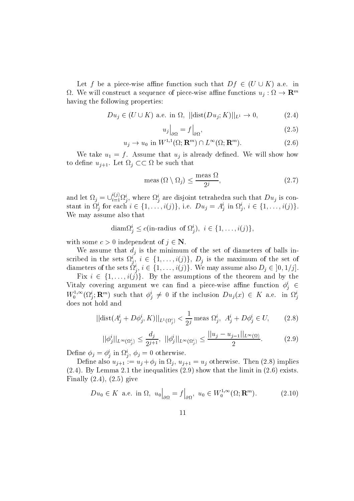Let for a piece-wise annie function such that  $Df \in (U \cup K)$  a.e. in  $\Omega$ . We will construct a sequence of piece-wise annie functions  $u_j : \Omega \to \mathbf{R}^m$ having the following properties:

$$
Du_j \in (U \cup K) \text{ a.e. in } \Omega, \ ||\text{dist}(Du_j; K)||_{L^1} \to 0,
$$
\n(2.4)

$$
u_j\big|_{\partial\Omega} = f\big|_{\partial\Omega},\tag{2.5}
$$

$$
u_j \to u_0 \text{ in } W^{1,1}(\Omega; \mathbf{R}^m) \cap L^{\infty}(\Omega; \mathbf{R}^m). \tag{2.6}
$$

We take  $u_1 = f$ . Assume that  $u_j$  is already defined. We will show how to define  $u_{j+1}$ . Let  $\Omega_j \subset \subset \Omega$  be such that

$$
\text{meas}\left(\Omega \setminus \Omega_j\right) \le \frac{\text{meas}\,\,\Omega}{2^j},\tag{2.7}
$$

and let  $\Omega_j = \cup_{i=1}^\infty \Omega_j^i$ , where  $\Omega_j^i$  are disjoint tetrahedra such that  $Du_j$  is constant in  $\Omega_j$  for each  $i \in \{1, ..., i(j)\}$ , i.e.  $Du_j = A_j$  in  $\Omega_j$ ,  $i \in \{1, ..., i(j)\}$ .<br>We may assume also that<br>diam $\Omega_j^i \leq c$ (in-radius of  $\Omega_j^i$ ),  $i \in \{1, ..., i(j)\}$ ,  $\mathcal{L} = \bigcup_{i=1}^{i(j)} \Omega_j^i, \text{ where } \Omega_j^i \text{ are disjoint tetrahedra such that } D u_j^i \text{ for each } i \in \{1, \ldots, i(j)\}, \text{ i.e. } D u_j = A_j^i \text{ in } \Omega_j^i, \ i \in \{1, \ldots, i(j)\}.$ We may assume also that

$$
\text{diam}\Omega_i^i \le c(\text{in-radius of } \Omega_i^i), \ i \in \{1, \dots, i(j)\},
$$

with some  $c > 0$  independent of  $\gamma \in \mathbb{N}$ .

We assume that  $d_i$  is the minimum of the set of diameters of balls inscribed in the sets  $\Omega_j^*,\; i\in\{1,\ldots,\imath(j)\},\; D_j^*$  is the maximum of the set of diameters of the sets  $\{i_j, i \in \{1, \ldots, \ell(j)\}\}\$ . We may assume also  $D_j \in [0, 1/j].$ is the min<br>  $i \in \{1, \ldots$ <br>  $i \in \{1, \ldots\}$ 

Fix  $i \in \{1, \ldots, i(j)\}\$ . By the assumptions of the theorem and by the vitaly covering argument we can find a piece-wise almne function  $\varphi_i \in$  $W_0^{1,\infty}(\Omega^i_j; \mathbf{R}^m)$  such that  $\phi^i_j \neq 0$  if the inclusion  $Du_j(x) \in K$  a.e. in  $\Omega^i_j$ does not hold and

$$
||\text{dist}(A_j^i + D\phi_j^i, K)||_{L^1(\Omega_j^i)} < \frac{1}{2^j} \text{ meas } \Omega_j^i, \ A_j^i + D\phi_j^i \in U,
$$
 (2.8)

$$
||\phi_j^i||_{L^{\infty}(\Omega_j^i)} \le \frac{d_j}{2^{j+1}}, \ ||\phi_j^i||_{L^{\infty}(\Omega_j^i)} \le \frac{||u_j - u_{j-1}||_{L^{\infty}(\Omega)}}{2}.
$$
 (2.9)

Denne  $\varphi_j = \varphi_j$  in  $\iota_j$ ,  $\varphi_j = 0$  otherwise.

Define also  $u_{j+1} := u_j + \phi_j$  in  $\Omega_j$ ,  $u_{j+1} = u_j$  otherwise. Then (2.8) implies  $\mathbf{I}$  . In the inequalities the inequalities in the limit in the limit in the limit in the limit in the limit in  $\mathbf{I}$ Finally  $(2.4)$ ,  $(2.5)$  give

$$
Du_0 \in K \text{ a.e. in } \Omega, \ u_0\Big|_{\partial\Omega} = f\Big|_{\partial\Omega}, \ u_0 \in W_0^{1,\infty}(\Omega; \mathbf{R}^m). \tag{2.10}
$$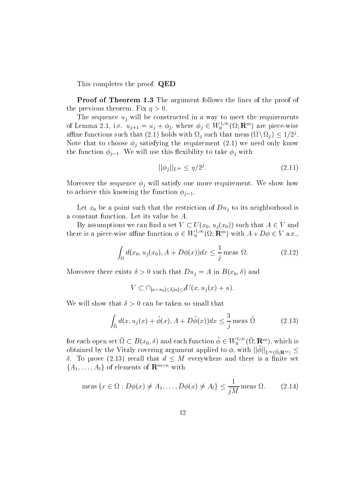This completes the proof. QED

**Proof of Theorem 1.3** The argument follows the lines of the proof of the previous theorem Fix is the previous three previous three previous three previous three previous three pre

The sequence  $u_i$  will be constructed in a way to meet the requirements of Lemma 2.1, i.e.  $u_{j+1} = u_j + \phi_j$ , where  $\phi_j \in W_0^{1,\infty}(\Omega; \mathbf{R}^m)$  are piece-wise amne functions such that (2.1) holds with  $\Omega_i$  such that meas ( $\Omega \setminus \Omega_i$  )  $\leq 1/Z$ . Note that to choose j satisfying the requirement  we need only know the function  $\phi_{j-1}$ . We will use this flexibility to take  $\phi_j$  with

$$
||\phi_j||_{L^\infty} \le \eta/2^j. \tag{2.11}
$$

Moreover the sequence  $\phi_j$  will satisfy one more requirement. We show how to achieve this knowing the function  $\phi_{i-1}$ .

 $\mathcal{L}$  and the anti-point such that the restriction of  $\mathcal{L}$  is the independence of  $\mathcal{L}$ a constant function. Let its value be  $A$ .

By assumptions we can find a set  $V \subset U(x_0, u_i(x_0))$  such that  $A \in V$  and there is a piece-wise affine function  $\phi \in W_0^{1,\infty}(\Omega;\mathbf{R}^m)$  with  $A+D\phi \in V$  a.e.,

$$
\int_{\Omega} d(x_0, u_j(x_0), A + D\phi(x))dx \le \frac{1}{j} \text{meas } \Omega.
$$
 (2.12)

more that the contract the state of the Duncated Company and the state of  $\mathcal{N}(0)$  in Barbara and Duj in Barbara and Duj in Barbara and Duj in Barbara and Duj in Barbara and Duj in Barbara and Duj in Barbara and Duj in B  $\delta > 0$  such that  $Du_j = A$  in  $B(x_0, \delta)$  and<br>  $V \subset \bigcap_{|x-x_0| \leq \delta, |u| \leq \delta} U(x, u_j(x) + u).$ 

$$
V \subset \cap_{|x-x_0| < \delta, |u| < \delta} U(x, u_j(x) + u).
$$

$$
\int_{\tilde{\Omega}} d(x, u_j(x) + \tilde{\phi}(x), A + D\tilde{\phi}(x)) dx \le \frac{3}{j} \text{meas } \tilde{\Omega}
$$
 (2.13)

for each open set  $\Omega\subset B(x_0,\delta)$  and each function  $\phi\in W^{1,\infty}_0(\Omega;\mathbf{R}^m),$  which is obtained by the Vitaly covering argument applied to  $\varphi,$  with  $||\varphi||_{L^{\infty}(\tilde{\Omega};\mathbf{R}^m)} \leq$  $\sigma$ . To prove (2.15) recall that  $a$   $\leq$   $M$  everywhere and there is a nifite set  $\{A_1,\ldots,A_l\}$  of elements of  $\mathbf{R}^{m\times n}$  with

$$
\dots, A_l \text{ of elements of } \mathbf{R}^{m \times n} \text{ with}
$$
  
meas  $\{x \in \Omega : D\phi(x) \neq A_1, \dots, D\phi(x) \neq A_l\} \le \frac{1}{jM}$ meas  $\Omega$ . (2.14)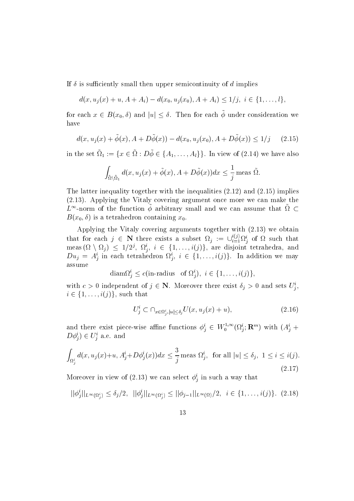If is such a such that is such a such a such a such a such a such a such a such a such a such a such a such a such a such a such a such a such a such a such a such a such a such a such a such a such a such a such a such a

If 
$$
\delta
$$
 is sufficiently small then upper semicontinuity of  $d$  implies  
\n $d(x, u_j(x) + u, A + A_i) - d(x_0, u_j(x_0), A + A_i) \le 1/j, i \in \{1, ..., l\},$   
\nfor each  $x \in B(x_0, \delta)$  and  $|u| \le \delta$ . Then for each  $\tilde{\phi}$  under consideration we

have

$$
d(x, u_j(x) + \tilde{\phi}(x), A + D\tilde{\phi}(x)) - d(x_0, u_j(x_0), A + D\tilde{\phi}(x)) \le 1/j \quad (2.15)
$$
  
in the set  $\tilde{\Omega}_1 := \{x \in \tilde{\Omega} : D\tilde{\phi} \in \{A_1, \dots, A_l\}\}\.$  In view of (2.14) we have also

$$
\int_{\tilde{\Omega}\setminus\tilde{\Omega}_1} d(x, u_j(x) + \tilde{\phi}(x), A + D\tilde{\phi}(x))dx \le \frac{1}{j} \text{ meas } \tilde{\Omega}.
$$

the latter integration of  $\Delta$  implies the integration of  $\Delta$  in the integration  $\Delta$  is an operator of  $\Delta$ Applying the Vitaly covering argument on  $\mathcal{A}$  argument on  $\mathcal{A}$  make the vital make the vital make the vital make the vital make the vital make the vital make the vital make the vital make the vital make the vital  $L^{\infty}$ -norm of the function  $\phi$  arbitrary small and we can assume that  $\Omega \subset$ Bx-  is a tetrahedron containing x-

 $\mathbb{R}$  . The Vitaly covering arguments to the Vitaly covering arguments to the Vitaly covering  $\mathbb{R}$ that for each  $j \in \mathbb{N}$  there exists a subset  $\Omega_j := \cup_{i=1}^{\infty} \Omega_i^i$  of  $\Omega$  such that meas ( $\Omega \setminus \Omega_j$ )  $\leq$  1/2,  $\Omega_j$ ,  $i \in \{1, \ldots, \ell(j)\}$ , are disjoint tetrahedra, and  $Du_j = A_j^i$  in each tetrahedron  $\Omega_j^i$ ,  $i \in \{1, ..., i(j)\}$ . In addition we may<br>assume<br>diam $\Omega_j^i \leq c$ (in-radius of  $\Omega_j^i$ ),  $i \in \{1, ..., i(j)\}$ , assume

$$
\text{diam}\Omega_i^i \le c(\text{in-radius of } \Omega_i^i), i \in \{1, \ldots, i(j)\},
$$

with  $c > 0$  independent of  $j \in \mathbb{N}$ . Moreover there exist  $\sigma_j > 0$  and sets  $U_j$ , with  $c > i \in \{1, \ldots\}$  $i \in \{1, \ldots, i(j)\}\$ , such that

that  
\n
$$
U_j^i \subset \bigcap_{x \in \Omega_j^i, |u| \le \delta_j} U(x, u_j(x) + u), \tag{2.16}
$$

and there exist piece-wise affine functions  $\phi^i_j \in W^{1,\infty}_0(\Omega^i_j; \mathbf{R}^m)$  with  $(A^i_j +$  $D\varphi_i$   $\in$   $U_i$  a.e. and

$$
D\phi_j^* \in U_j^* \text{ a.e. and}
$$
  

$$
\int_{\Omega_j^i} d(x, u_j(x) + u, A_j^i + D\phi_j^i(x)) dx \le \frac{3}{j} \text{ meas } \Omega_j^i, \text{ for all } |u| \le \delta_j, 1 \le i \le i(j).
$$
  
(2.17)

Moreover in view of (2.15) we can select  $\varphi_j$  in such a way that

Moreover in view of (2.13) we can select 
$$
\phi_j^i
$$
 in such a way that  
\n
$$
||\phi_j^i||_{L^{\infty}(\Omega_j^i)} \leq \delta_j/2, \quad ||\phi_j^i||_{L^{\infty}(\Omega_j^i)} \leq ||\phi_{j-1}||_{L^{\infty}(\Omega)}/2, \quad i \in \{1, ..., i(j)\}. \quad (2.18)
$$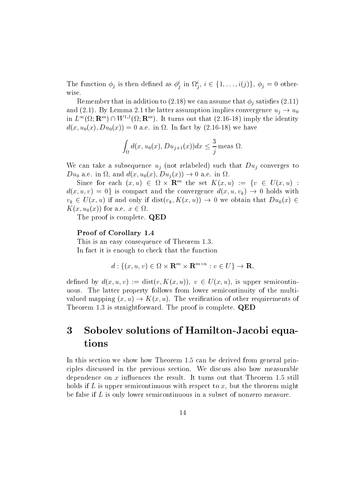The function  $\phi_j$  is then defined as  $\phi_j^i$  in  $\Omega_j^i$ ,  $i \in \{1, \ldots, i(j)\}$ ,  $\phi_j = 0$  otherwise

represent to their did in addition to  $\sqrt{m\cdot\sigma}$  , the candidates indicated the  $\tau$   $\gamma$  and the satisfied  $\sqrt{m\cdot\sigma}$  $\mathbf{r}$ and (2.1). By Lemma 2.1 the latter assumption implies convergence  $u_j \rightarrow u_0$ in  $L^{\infty}(\Omega; \mathbf{R}^m) \cap W^{1,1}(\Omega; \mathbf{R}^m)$ . It turns out that (2.16-18) imply the identity  $\mathcal{N}$  and  $\mathcal{N}$  are in the international contract by  $\mathcal{N}$  and  $\mathcal{N}$  are in the international contract of  $\mathcal{N}$ 

$$
\int_{\Omega} d(x, u_0(x), Du_{j+1}(x)) dx \leq \frac{3}{j} \text{ meas } \Omega.
$$

We can take a subsequence  $u_i$  (not relabeled) such that  $Du_i$  converges to  $D u_0$  a.e. in sz, and  $a(x, u_0(x), D u_j(x)) \rightarrow 0$  a.e. in sz.

Since for each  $(x, u) \in \Omega \times \mathbb{R}^n$  the set  $\Lambda(x, u) := \{v \in U(x, u)$ :  $d(x, u, v) = 0$  is compact and the convergence  $d(x, u, v_k) \to 0$  holds with  $v_k \in U(x, u)$  if and only if  $\text{dist}(v_k, K(x, u)) \rightarrow 0$  we obtain that  $Du_0(x) \in$  $\Lambda(x, u_0(x))$  for a.e.  $x \in \Omega$ .

The proof is complete. **QED** 

#### Proof of Corollary 1.4

This is an easy consequence of Theorem and Theorem and Theorem and Theorem and Theorem and Theorem and Theorem In fact it is enough to check that the function

enough to check that the function  

$$
d: \{(x, u, v) \in \Omega \times \mathbf{R}^m \times \mathbf{R}^{m \times n} : v \in U\} \to \mathbf{R},
$$

defined by  $d(x, u, v) := \text{dist}(v, K(x, u)), v \in U(x, u)$ , is upper semicontinuous. The latter property follows from lower semicontinuity of the multivalued mapping  $(x, u) \rightarrow K(x, u)$ . The verification of other requirements of The proof is straightforward Theorem is straightforward The proof is complete QEDD in the proof is complete QEDD in the proof is complete QEDD in the proof is complete QEDD in the proof is complete QEDD in the proof is com

#### 3 Sobolev solutions of Hamilton-Jacobi equations

 $\mathbf{A}$ ciples discussed in the previous section We discuss also how measurable dependence on a inutility the result It turns out that Theorem and Theorem and Theorem and Theorem and Theorem holds if  $L$  is upper semicontinuous with respect to  $x$ , but the theorem might be false if  $L$  is only lower semicontinuous in a subset of nonzero measure.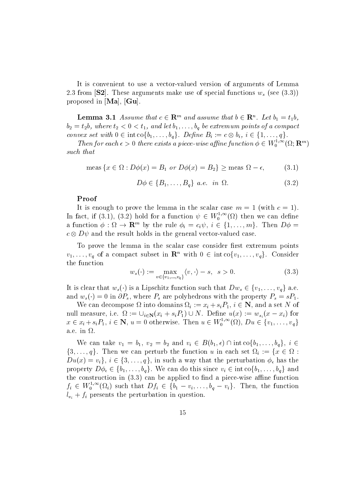$\mathbf{I}$ 2.3 from [S2]. These arguments make use of special functions  $w_s$  (see (3.3)) proposed in  $[Ma]$ ,  $Gu$ .

**Lemma 5.1** Assume that  $c \in \mathbb{R}^m$  and assume that  $b \in \mathbb{R}^n$ . Let  $b_1 = t_1b$ ,  $\mathbf{a}$  , where the transformal points of and let be extremum points of a compact  $\mathbf{a}$ **Lemma 3.1** Assume that  $c \in \mathbb{R}^m$  and assume that  $b \in \mathbb{R}^n$ . Let  $b_2 = t_2b$ , where  $t_2 < 0 < t_1$ , and let  $b_1, \ldots, b_q$  be extremum points of a convex set with  $0 \in \text{int } \text{co} \{b_1, \ldots, b_q\}$ . Define  $B_i := c \otimes b_i$ ,  $i \in$ convex set with  $0 \in \text{int co} \{b_1, \ldots, b_q\}$ . Define  $B_i := c \otimes b_i, i \in \{1, \ldots, q\}$ .

Then for each  $\epsilon > 0$  there exists a piece-wise affine function  $\phi \in W_0^{1,\infty}(\Omega; \mathbf{R}^m)$ such that hat<br>  $\text{meas } \{x \in \Omega : D\phi(x) = B_1 \text{ or } D\phi(x) = B_2\} \ge \text{meas } \Omega - \epsilon,$  (3.1)

$$
\text{meas}\left\{x \in \Omega : D\phi(x) = B_1 \text{ or } D\phi(x) = B_2\right\} \ge \text{meas } \Omega - \epsilon,\tag{3.1}
$$
\n
$$
D\phi \in \{B_1, \dots, B_q\} \text{ a.e. in } \Omega.\tag{3.2}
$$

$$
D\phi \in \{B_1, \dots, B_a\} \ a.e. \ in \ \Omega. \tag{3.2}
$$

#### Proof

It is enough to prove the lemma in the scalar case m  $\mathcal{W}$ In fact, if (3.1), (3.2) hold for a function  $\psi \in W_0^{1,\infty}(\Omega)$  then we can define a function  $\varphi: \Omega \to \mathbf{R}^m$  by the rule  $\varphi_i = c_i \psi, i \in \{1, \ldots, m\}$ . Then  $D\varphi =$  $c \otimes D \psi$  and the result holds in the general vector-valued case.

To prove the lemma in the scalar case consider first extremum points  $v_1, \ldots, v_q$  of a compact subset in  $\mathbb{R}^n$  with  $0 \in \text{int co}\{v_1, \ldots, v_q\}$ . Consider<br>the function<br> $w_s(\cdot) := \max_{v \in \{v_1, \ldots, v_q\}} \langle v, \cdot \rangle - s, \ s > 0.$  (3.3) the function

$$
w_s(\cdot) := \max_{v \in \{v_1, \dots, v_q\}} \langle v, \cdot \rangle - s, \quad s > 0. \tag{3.3}
$$

It is clear that  $w_s(\cdot)$  is a Lipschitz function such that  $Dw_s \in \{v_1, \ldots, v_q\}$  a.e. and  $w_s(\cdot) = 0$  in  $\partial P_s$ , where  $P_s$  are polyhedrons with the property  $P_s = sP_1$ .

We can decompose  $\Omega$  into domains  $\Omega_i := x_i + s_i P_1$ ,  $i \in \mathbb{N}$ , and a set N of null measure, i.e.  $\Omega := \bigcup_{i \in \mathbb{N}} (x_i + s_i P_1) \cup N$ . Define  $u(x) := w_{s_i}(x - x_i)$  for We can decompose  $\Omega$  into domains  $\Omega_i := x_i + s_i P_1$ ,  $i \in \mathbb{N}$ , and a set  $N$  of<br>null measure, i.e.  $\Omega := \cup_{i \in \mathbb{N}} (x_i + s_i P_1) \cup N$ . Define  $u(x) := w_{s_i}(x - x_i)$  for<br> $x \in x_i + s_i P_1$ ,  $i \in \mathbb{N}$ ,  $u = 0$  otherwise. Then  $u \in W_0^{1,\$ a.e. in  $\Omega$ .

We can take  $v_1 = b_1, v_2 = b_2$  and  $v_i \in B(b_1, \epsilon) \cap \text{int co}\{b_1, \ldots, b_q\}, i \in$  $\{3,\ldots,q\}$ . Then we can perturb the function u in each set  $\Omega_i := \{x \in \Omega :$ We can take  $v_1 = b_1$ ,  $v_2 = b_2$  and  $v_i \in B(b_1, \epsilon) \cap \text{intco}\{b_1, \ldots, b_q\}$ ,  $i \in \{3, \ldots, q\}$ . Then we can perturb the function u in each set  $\Omega_i := \{x \in \Omega : Du(x) = v_i\}$ ,  $i \in \{3, \ldots, q\}$ , in such a way that the perturbation  $\phi$  $Du(x) = v_i$ ,  $i \in \{3, ..., q\}$ , in such a way that the perturbation  $\phi_{\epsilon}$  has the property  $D\phi_{\epsilon} \in \{b_1, ..., b_q\}$ . We can do this since  $v_i \in \text{int } \text{co}\{b_1, ..., b_q\}$  and the construction is a picture of the piece- of a piece-  $\alpha$  piece- with a piece-  $\alpha$  $f_i \in W_0^{1,\infty}(\Omega_i)$  such that  $Df_i \in \{b_1-v_i,\ldots,b_q-v_i\}$ . Then, the function  $l_{v_i} + f_i$  presents the perturbation in question.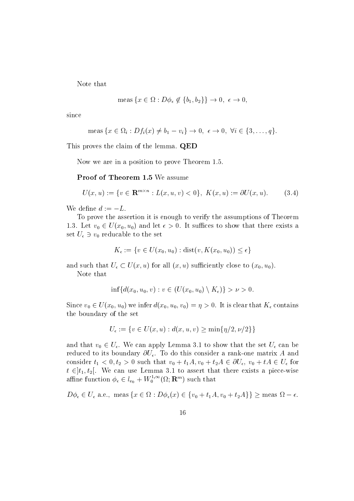Note that

$$
\text{meas}\left\{x \in \Omega : D\phi_{\epsilon} \notin \{b_1, b_2\}\right\} \to 0, \ \epsilon \to 0,
$$

since

$$
\text{meas}\,\{x \in \Omega_i : Df_i(x) \neq b_1 - v_i\} \to 0, \ \epsilon \to 0, \ \forall i \in \{3, \ldots, q\}.
$$

This proves the claim of the lemma. QED

Now we are in a position to prove Theorem and the proven theorem and the proven theorem and the proven theorem

Proof of Theorem 1.5 We assume

$$
U(x, u) := \{ v \in \mathbf{R}^{m \times n} : L(x, u, v) < 0 \}, \ K(x, u) := \partial U(x, u). \tag{3.4}
$$

We define  $d := -L$ .

To prove the assertion it is enough to verify the assumptions of Theorem 1.5. Let  $v_0 \in U(x_0, u_0)$  and let  $\epsilon > 0$ . It sumes to show that there exists a set  $U_\epsilon\ni v_0$  reducable to the set

$$
K_{\epsilon} := \{ v \in U(x_0, u_0) : \text{dist}(v, K(x_0, u_0)) \le \epsilon \}
$$

and such that  $U_{\epsilon} \subset U(x, u)$  for all  $(x, u)$  sufficiently close to  $(x_0, u_0)$ .

Note that

$$
\inf \{ d(x_0, u_0, v) : v \in (U(x_0, u_0) \setminus K_{\epsilon}) \} > \nu > 0.
$$

Since  $v_0 \in U(x_0, u_0)$  we infer  $a(x_0, u_0, v_0) = \eta > 0$ . It is clear that  $\mathbf{\Lambda}_{\epsilon}$  contains the boundary of the set

$$
U_{\epsilon} := \{ v \in U(x, u) : d(x, u, v) \ge \min\{ \eta/2, \nu/2 \} \}
$$

and that  $v_0\in U_\epsilon.$  We can apply Lemma 3.1 to show that the set  $U_\epsilon$  can be reduced to its boundary U To do this consider <sup>a</sup> rank-one matrix A and consider  $t_1 < v, t_2 > v$  such that  $v_0 + t_1 A, v_0 + t_2 A \in \mathcal{O} \mathcal{U}_\epsilon, v_0 + t A \in \mathcal{U}_\epsilon$  for  $u \in [t_1, t_2]$ . We can use Lemma 3.1 to assert that there exists a piece-wise<br>affine function  $\phi_{\epsilon} \in l_{v_0} + W_0^{1,\infty}(\Omega; \mathbf{R}^m)$  such that affine function  $\phi_{\epsilon} \in l_{v_0} + W_0^{1,\infty}(\Omega; \mathbf{R}^m)$  such that<br>  $D\phi_{\epsilon} \in U_{\epsilon} \text{ a.e., } \text{meas } \{x \in \Omega : D\phi_{\epsilon}(x) \in \{v_0 + t_1A, v_0 + t_2A\}\} \ge \text{meas } \Omega - \epsilon.$ 

 $D\phi_{\epsilon} \in U_{\epsilon}$  a.e., meas  $\{x \in \Omega : D\phi_{\epsilon}(x) \in \{v_0 + t_1 A, v_0 + t_2 A\}\} \geq$  meas  $\Omega - \epsilon$ .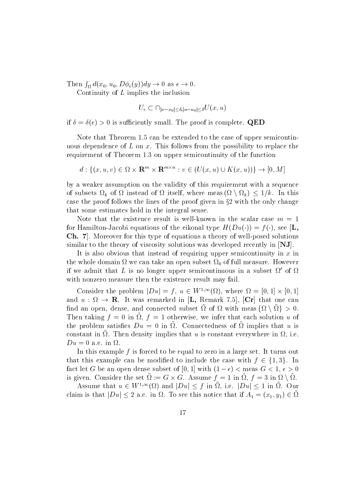Then  $\int_{\Omega} d(x_0, u_0, D\phi_{\epsilon}(y)) dy \to 0$  as  $\epsilon \to 0$ .

Continuity of  $L$  implies the inclusion

 $U_{\epsilon} \subset \bigcap_{|x-x_0| \leq \delta, |u-u_0| \leq \delta} U(x,u)$ 

if is such a such a such a such a such a such a such a such a such a such a such a such a such a such a such a

Note that Theorem can be extended to the case of upper semicontinuous dependence of L on x. This follows from the possibility to replace the requirement of Theorem on upper semicontinuity of the function irement of Theorem 1.3 on upper semicontinuity of the function<br>  $d: \{(x, u, v) \in \Omega \times \mathbf{R}^m \times \mathbf{R}^{m \times n} : v \in (U(x, u) \cup K(x, u))\} \to [0, M]$ 

by a weaker assumption on the validity of this requirement with a sequence of subsets  $\Omega_k$  of  $\Omega$  instead of  $\Omega$  itself, where meas  $(\Omega \setminus \Omega_k) \leq 1/k$ . In this case the proof follows the lines of the proof given in  $\S 2$  with the only change that some estimates hold in the integral sense

for Hamilton-Jacobi equations of the eikonal type  $H(Du(\cdot))=f(\cdot)$ , see  $|\mathbf{L},$ Ch Moreover for this type of equations a theory of well-posed solutions similar to the theory of viscosity solutions was developed recently in  $[NJ]$ .

It is also obvious that instead of requiring upper semicontinuity in  $x$  in the whole domain we can take an open subset of full measure  $\mathbf{u}$  are full measure that the subset of if we admit that L is no longer upper semicontinuous in a subset  $\Omega'$  of  $\Omega$ with nonzero measure then the existence result may fail.

Consider the problem  $|Du| = f, u \in W^{1,\infty}(\Omega)$ , where  $\Omega = [0,1] \times [0,1]$ and the contract of the contract of the contract of the contract of the contract of the contract of the contract of the contract of the contract of the contract of the contract of the contract of the contract of the contra and  $u : \Omega \to \mathbf{R}$ . It was remarked in [L, Remark 7.5], [Cr] that one can  $\min$  an open, dense, and connected subset  $\Omega$  of  $\Omega$  with meas  $\{ \Omega \setminus \Omega \} > 0.$ Then taking  $f = 0$  in  $\mathcal{U}, f = 1$  otherwise, we infer that each solution u of the problem satisfies  $Du = 0$  in  $u$ . Connectedness of  $u$  implies that u is constant in  $\Omega$ . Then density implies that u is constant everywhere in  $\Omega$ , i.e.  $Du=0$  a.e. in  $\Omega$ .

In this example f is forced to be equal to zero in a large set. It turns out that this example can be modified to include the case with  $t \in \{1, \delta\}$ . In ract let  $G$  be an open dense subset of  $[0,1]$  with  $(1-\epsilon) <$  meas  $G < 1, \, \epsilon > 0$ is given. Consider the set  $\Omega := G \times G$ . Assume  $\overline{f} = 1$  in  $\Omega$ ,  $\overline{f} = 3$  in  $\Omega \setminus \Omega$ . be subset of [0, 1] with  $(1 - \epsilon) <$  meas  $G < 1$ ,  $\epsilon > 0$ <br>  $\tilde{\Omega} := G \times G$ . Assume  $f = 1$  in  $\tilde{\Omega}$ ,  $f = 3$  in  $\Omega \setminus \tilde{\Omega}$ .<br>
( $\Omega$ ) and  $|Du| < f$  in  $\tilde{\Omega}$ , i.e.  $|Du| < 1$  in  $\tilde{\Omega}$ . Our

Assume that  $u \in W^{1,\infty}(\Omega)$  and  $|Du| \leq f$  in  $\Omega$ , i.e.  $|Du| \leq 1$  in  $\Omega$ . Our is given. Consider the set  $\Omega := G \times G$ . Assume  $f = 1$  in  $\Omega$ ,  $f = 3$  in  $\Omega \setminus \Omega$ .<br>Assume that  $u \in W^{1,\infty}(\Omega)$  and  $|Du| \le f$  in  $\tilde{\Omega}$ , i.e.  $|Du| \le 1$  in  $\tilde{\Omega}$ . Our claim is that  $|Du| \le 2$  a.e. in  $\Omega$ . To see this not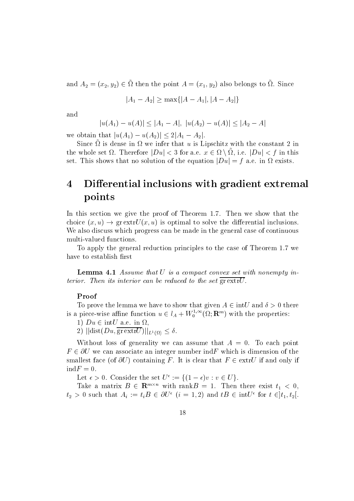and  $A_2 = (x_2, y_2) \in \Omega$  then the point  $A = (x_1, y_2)$  also belongs to  $\Omega$ . Since  $\tilde{\Omega}$  then the point  $A = (x_1, y_2)$  also belongs to<br> $|A_1 - A_2| \ge \max\{|A - A_1|, |A - A_2|\}$ 

$$
|A_1 - A_2| \ge \max\{|A - A_1|, |A - A_2|\}
$$

and

$$
|u(A_1) - u(A)| \le |A_1 - A|, \ |u(A_2) - u(A)| \le |A_2 - A|
$$

we obtain that  $|u(A_1) - u(A_2)| \leq 2|A_1 - A_2|$ .

Since  $\alpha$  is dense in  $\alpha$  we infer that  $\alpha$  is Lipschitz with the constant  $\alpha$  in the whole set  $\Omega$ . Therefore  $|Du| \leq \beta$  for a.e.  $x \in \Omega \setminus \Omega$ , i.e.  $|Du| \leq \beta$  in this set. This shows that no solution of the equation  $|Du| = f$  a.e. in  $\Omega$  exists.

## 4 Differential inclusions with gradient extremal points

in the section we give the proof of Theorem I.C. Then we show the theorem the show that the show that the show choice  $(x, u) \rightarrow \text{gr} \text{ extr}U(x, u)$  is optimal to solve the differential inclusions. We also discuss which progress can be made in the general case of continuous

To apply the general reduction principles to the case of Theorem we have to establish first

**Lemma 4.1** Assume that  $U$  is a compact convex set with nonempty interior. Then its interior can be reduced to the set  $\overline{\text{gr}\text{extr}U}$ .

#### Proof

To prove the lemma we have to show that given  $A \in \text{int}U$  and  $\theta > 0$  there is a piece-wise affine function  $u \in l_A + W_0^{1,\infty}(\Omega; \mathbf{R}^m)$  with the properties:

 $1/Du \in \text{IHC}$  a.e.  $\text{III } \Omega$ ,

 $\mathcal{L}$ ) || $\text{dist}(Du, \text{gr} \text{ ext} U)$ || $L^1(\Omega) \leq 0$ .

Without loss of generality we can assume that  $A = 0$ . To each point  $F \in \partial U$  we can associate an integer number ind F which is dimension of the smallest face (of  $\partial U$ ) containing F. It is clear that  $F \in \text{extr}U$  if and only if  $indF=0.$ 

Let  $\epsilon > 0$ . Consider the set  $U^- := \{ (1 - \epsilon) v : v \in U \}$ .

Take a matrix  $B \in \mathbf{R}^{m \times n}$  with rank $B = 1$ . Then there exist  $t_1 < 0$ ,  $t_2 > 0$  such that  $A_i := t_i B \in \mathcal{O}U$   $(i = 1, 2)$  and  $t B \in \text{Int}U$  for  $t \in [t_1, t_2]$ .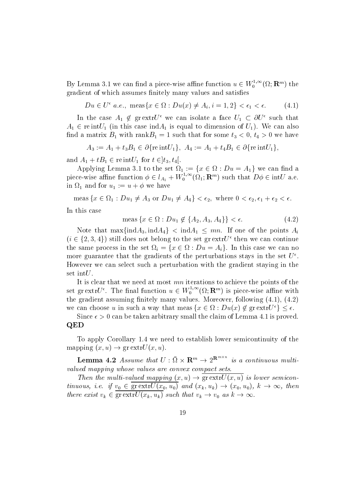By Lemma 3.1 we can find a piece-wise affine function  $u \in W_0^{1,\infty}(\Omega; \mathbf{R}^m)$  the gradient of which assumes finitely many values and satisfies

$$
Du \in U^{\epsilon} \ a.e., \ \text{meas}\{x \in \Omega : Du(x) \neq A_i, i = 1, 2\} < \epsilon_1 < \epsilon. \tag{4.1}
$$

In the case  $A_1 \notin \text{gr}$  extr $U$  we can isolate a face  $U_1 \subset \partial U$  such that  $A_1 \in \text{re int} U_1$  (in this case ind  $A_1$  is equal to dimension of  $U_1$ ). We can also nd a matrix B with rank B with rank B with rank B with rank B with rank B with rank B with rank B with rank B w

$$
A_3 := A_1 + t_3 B_1 \in \partial \{ \text{re}\,\text{int}U_1 \}, \ A_4 := A_1 + t_4 B_1 \in \partial \{ \text{re}\,\text{int}U_1 \},
$$

and  $A_1 + \iota D_1 \in \text{rem}_{U_1}$  for  $\iota \in [t_3, t_4]$ .

Applying Lemma 5.1 to the set  $\Omega_1 := \{x \in \Omega : Du = A_1\}$  we can find a piece-wise affine function  $\phi \in l_{A_1} + W_0^{1,\infty}(\Omega_1; \mathbf{R}^m)$  such that  $D\phi \in \text{int}U$  a.e. in  $\Omega_1$  and for  $u_1 := u + \phi$  we have

meas { $x \in \Omega_1 : Du_1 \neq A_3$  or  $Du_1 \neq A_4$ } <  $\epsilon_2$ , where  $0 < \epsilon_2, \epsilon_1 + \epsilon_2 < \epsilon$ .<br>this case<br>meas { $x \in \Omega : Du_1 \notin \{A_2, A_3, A_4\} \} < \epsilon$ . (4.2)

In this case

$$
\text{meas}\left\{x \in \Omega : Du_1 \notin \{A_2, A_3, A_4\}\right\} < \epsilon. \tag{4.2}
$$

Note that max $\{$ ind $A_3,$ ind $A_4\}$   $\leq$  ind $A_1$   $\leq$   $mn$ . If one of the points  $A_i$ ightharpoontagram  $\{x \in \Omega : Du_1 \notin \{A_2, A_3, A_4\}\} < \epsilon.$  (4.2)<br>Note that  $\max\{\text{ind}A_3, \text{ind}A_4\} < \text{ind}A_1 \leq mn$ . If one of the points  $A_i$ <br> $(i \in \{2, 3, 4\})$  still does not belong to the set gr extr $U^{\epsilon}$  then we can continue the same process in the set  $\Omega_i = \{x \in \Omega : Du = A_i\}$ . In this case we can no more guarantee that the gradients of the perturbations stays in the set  $U^{\epsilon}$ . However we can select such a perturbation with the gradient staying in the set int $U$ .

It is clear that we need at most mn iterations to achieve the points of the set gr $\text{extr}U^{\epsilon}$ . The final function  $u \in W_0^{1,\infty}(\Omega;\mathbf{R}^m)$  is piece-wise affine with the gradient assuming nitely many values Moreover following   we can choose u in such a way that meas  $x \in \Omega : Du(x) \notin \mathfrak{g}$ re. -wise affine with<br>wing (4.1), (4.2)<br>gr extr $U^{\epsilon}$ } <  $\epsilon$ .

Since - can be taken arbitrary small the claim of Lemma is proved QED

To apply Corollary we need to establish lower semicontinuity of the mapping  $(x, u) \rightarrow \text{gr} \, \text{extr} U(x, u)$ .

**Lemma 4.2** Assume that  $U: \Omega \times \mathbf{R}^m \to 2^{\mathbf{R}^{m \times m}}$  is a continuous multivalued mapping whose values are convex compact sets

**Then** the multi-valued mapping  $(x, u) \rightarrow \text{gr}$  extr $U(x, u)$  is lower semicontinuous, i.e. if  $v_0 \in \text{gr} \exp(x_0, u_0)$  and  $(x_k, u_k) \to (x_0, u_0)$ ,  $\kappa \to \infty$ , inen there exist  $v_k \in \overline{\text{gr} \text{extr} U(x_k, u_k)}$  such that  $v_k \to v_0$  as  $k \to \infty$ .  $U(x, u)$  is lower<br>  $\rightarrow (x_0, u_0), k \rightarrow$ <br>  $as k \rightarrow \infty.$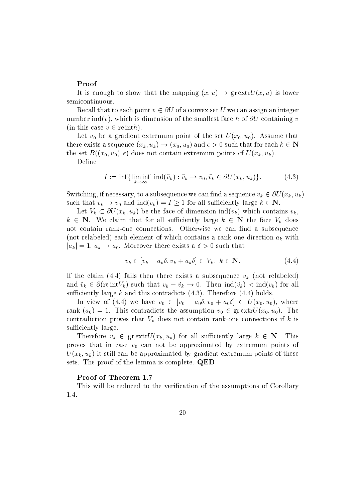#### Proof

It is enough to show that the mapping  $(x, u) \rightarrow \text{gr} \exp U(x, u)$  is lower semicontinuous

Recall that to each point  $v \in \partial U$  of a convex set U we can assign an integer number ind(v), which is dimension of the smallest face h of  $\partial U$  containing v (in this case  $v \in \text{re}\text{int}h$ ).

Let v- be <sup>a</sup> gradient extremum point of the set Ux- u- Assume that there exists a sequence  $(x_k, u_k) \rightarrow (x_0, u_0)$  and  $\epsilon > 0$  such that for each  $\kappa \in \mathbb{N}$ the set  $\alpha$  , and the set  $\alpha$  set  $\alpha$  is the set  $\alpha$  of  $\alpha$  and  $\alpha$  and  $\alpha$  and  $\alpha$   $\alpha$   $\alpha$ 

Define

$$
I := \inf \{ \liminf_{k \to \infty} \text{ ind}(\tilde{v}_k) : \tilde{v}_k \to v_0, \tilde{v}_k \in \partial U(x_k, u_k) \}. \tag{4.3}
$$

Switching, if necessary, to a subsequence we can find a sequence  $v_k \in \partial U(x_k, u_k)$ such that  $v_k \to v_0$  and ind( $v_k$ )  $\equiv$  1  $\geq$  1 for all sumciently large  $\kappa \in$  in.

Let  $V_k \subset \partial U(x_k, u_k)$  be the face of dimension ind $(v_k)$  which contains  $v_k$ ,  $k \in \mathbb{N}$ . We claim that for all sufficiently large  $k \in \mathbb{N}$  the face  $V_k$  does not contain rank-one connections Otherwise we can nd a subsequence not relabeled each element of which contains a rank-one direction ak with  $|a_k| = 1, a_k \rightarrow a_0$ . Moreover there exists a  $\sigma > 0$  such that

$$
v_k \in [v_k - a_k \delta, v_k + a_k \delta] \subset V_k, \ k \in \mathbb{N}.
$$
\n
$$
(4.4)
$$

If the claim (4.4) fails then there exists a subsequence  $v_k$  (not relabeled) and  $\tilde{v}_k \in \partial(\text{re}\text{ int}V_k)$  such that  $v_k - \tilde{v}_k \to 0$ . Then  $\text{ind}(\tilde{v}_k) < \text{ind}(v_k)$  for all sufficiently large  $k$  and this contradicts  $(4.3)$ . Therefore  $(4.4)$  holds.

In view of (4.4) we have  $v_0$   $\in$   $|v_0 - a_0 o, v_0 + a_0 o| \subset U(x_0, u_0)$ , where rank  $(a_0) = 1$ . This contradicts the assumption  $v_0 \in \text{gr}$  extr $U(x_0, u_0)$ . The  $\mathbf{v}$  does not contain rank-values that Vk does not connections if  $\mathbf{v}$  is a isomorphism rank-values of  $\mathbf{v}$ sufficiently large.

Therefore  $v_k \in \text{gr} \text{ext} \text{tr} U(x_k, u_k)$  for all sufficiently large  $k \in \mathbb{N}$ . This proves that in case v-case  $\alpha$  and the approximated by extremum points of the approximated by extremum points  $U(x_k, u_k)$  it still can be approximated by gradient extremum points of these sets. The proof of the lemma is complete. **QED** 

#### Proof of Theorem

This will be reduced to the verification of the assumptions of Corollary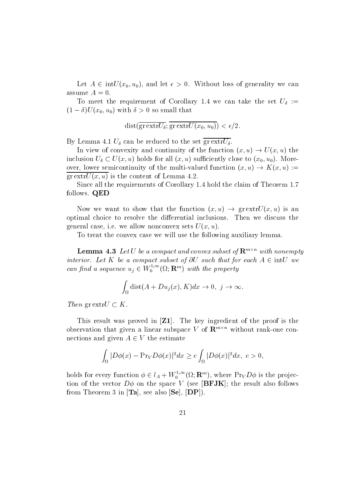Let  $A \in \text{Int} \cup (x_0, u_0)$ , and let  $\epsilon > 0$ . Without loss of generality we can assume  $A=0$ .

To meet the requirement of Corollary at the set under the set U.S. Co. 1999.  $(1 - \sigma) U(x_0, u_0)$  with  $\sigma > 0$  so small that

$$
dist(\overline{\text{gr} \text{extr} U_{\delta}}; \overline{\text{gr} \text{extr} U(x_0, u_0)}) < \epsilon/2.
$$

 $\mathcal{L}$  , and the set  $\mathcal{L}$  and the set of the set  $\mathcal{L}$  . The set  $\mathcal{L}$ 

In view of convexity and continuity of the function  $(x, u) \rightarrow U(x, u)$  the inclusion  $U_\delta\subset U(x,u)$  holds for all  $(x,u)$  sufficiently close to  $(x_0,u_0)$ . Moreover, lower semicontinuity of the multi-valued function  $(x, u) \to K(x, u) :=$  $grextrU(x, u)$  is the content of Lemma 4.2.

since all the requirements of Corollary (Theorem includes of Theorem 2011) follows. QED

Now we want to show that the function  $(x, u) \rightarrow \text{gr} \text{ extr}U(x, u)$  is an optimal choice to resolve the differential inclusions. Then we discuss the general case, i.e. we allow nonconvex sets  $U(x, u)$ .

To treat the convex case we will use the following auxiliary lemma

**Lemma 4.3** Let U be a compact and convex subset of  $\mathbf{R}^{m \times n}$  with nonempty interior. Let K be a compact subset of  $\partial U$  such that for each  $A \in \text{int}U$  we can find a sequence  $u_j \in W_0^{1,\infty}(\Omega; \mathbf{R}^m)$  with the property

$$
ue u_j \in W_0^{1,\infty}(\Omega; \mathbf{R}^m) \text{ with the property}
$$

$$
\int_{\Omega} \text{dist}(A + Du_j(x), K) dx \to 0, \ j \to \infty.
$$

Then gr extr $U \subset K$ .<br>This result was proved in [Z1]. The key ingredient of the proof is the observation that given a linear subspace V of  $\mathbf{R}^{m \times n}$  without rank-one connections and given  $A \in V$  the estimate

$$
\int_{\Omega} |D\phi(x) - \Pr_{V} D\phi(x)|^{2} dx \geq c \int_{\Omega} |D\phi(x)|^{2} dx, \ c > 0,
$$

holds for every function  $\phi \in l_A + W_0^{1,\infty}(\Omega;\mathbf{R}^m)$ , where  $\Pr_V D\phi$  is the projection of the vector  $D\phi$  on the space V (see [BFJK]; the result also follows from Theorem 3 in  $[Ta]$ , see also  $[Se]$ ,  $[DP]$ ).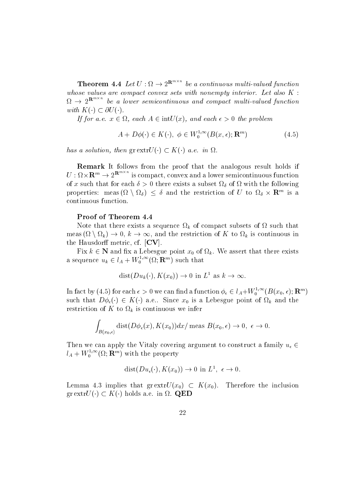**Theorem 4.4** Let  $U: \Omega \to 2^{R_{\text{max}}}$  be a continuous multi-valued function whose values are compact convex sets with nonempty interior. Let also  $K$ :  $\Omega \rightarrow 2^{\infty}$  be a lower semicontinuous and compact multi-valued function with  $K(\cdot) \subset \partial U(\cdot)$ .

If for a.e.  $x \in \Omega$ , each  $A \in \Pi(U(\mathcal{X}))$ , and each  $\epsilon > 0$  the problem

$$
A + D\phi(\cdot) \in K(\cdot), \ \phi \in W_0^{1,\infty}(B(x,\epsilon); \mathbf{R}^m)
$$
\n
$$
(4.5)
$$

has a solution, then  $\text{gr} \exp(U(\cdot) \subset K(\cdot))$  a.e. in  $\Omega$ .

Remark It follows from the proof that the analogous result holds if  $U:\Omega\times\mathbf{R}^m\to 2^{\mathbf{R}^m\times m}$  is compact, convex and a lower semicontinuous function of a such that for each that  $\alpha$  , we are existed the following the following the following  $\alpha$ properties: meas ( $\Omega \setminus \Omega_{\delta} \rbrace \leq \delta$  and the restriction of U to  $\Omega_{\delta} \times \mathbf{R}^{m}$  is a continuous function

#### Proof of Theorem

Note that there exists a sequence  $\Omega_k$  of compact subsets of  $\Omega$  such that meas  $(\Omega \setminus \Omega_k) \to 0$ ,  $k \to \infty$ , and the restriction of K to  $\Omega_k$  is continuous in the Hausdorff metric, cf.  $\left[CV\right]$ .

Fix  $\kappa \in \mathbb{N}$  and  $\pi x$  a Lebesgue point  $x_0$  of  $\Omega_k$ . We assert that there exists a sequence  $u_k \in l_A + W_0^{1,\infty}(\Omega; \mathbf{R}^m)$  such that such that<br>  $) \to 0$  in  $L^1$  as  $k \to \infty$ .

$$
dist(Du_k(\cdot), K(x_0)) \to 0 \text{ in } L^1 \text{ as } k \to \infty
$$

In fact by  $(4.5)$  for each  $\epsilon>0$  we can find a function  $\phi_\epsilon\in l_A+ W_0^{1,\infty}(B(x_0,\epsilon);\mathbf{R}^m)$ such that  $D\varphi_{\epsilon}(\cdot) \in K(\cdot)$  a.e.. Since  $x_0$  is a Lebesgue point of  $\Omega_k$  and the restriction of K to  $\Omega_k$  is continuous we infer

$$
\int_{B(x_0,\epsilon)} \text{dist}(D\phi_{\epsilon}(x), K(x_0))dx/\text{ meas } B(x_0,\epsilon) \to 0, \ \epsilon \to 0.
$$

Then we can apply the Vitaly covering argument to construct a family  $u_{\epsilon} \in$  $l_A + W_0^{1,\infty}(\Omega; \mathbf{R}^m)$  with the property

$$
dist(Du_{\epsilon}(\cdot), K(x_0)) \to 0 \text{ in } L^1, \epsilon \to 0.
$$

Lemma 4.5 implies that gr extr $U(x_0) \subseteq K(x_0)$ . Therefore the inclusion  $\mathrm{gr}\, \mathrm{extr} U(\cdot) \subset K(\cdot)$  holds a.e. in  $\Omega$ . QED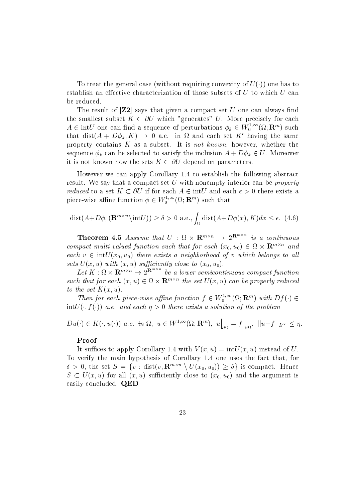To treat the general case (without requiring convexity of  $U(\cdot)$ ) one has to establish an effective characterization of those subsets of  $U$  to which  $U$  can be reduced

The result of  $\mathbf{Z2}$  says that given a compact set U one can always find the smallest subset  $K \subset \partial U$  which "generates" U. More precisely for each  $A \in \text{int}U$  one can find a sequence of perturbations  $\phi_k \in W_0^{1,\infty}(\Omega; \mathbf{R}^m)$  such that dist $(A + D\phi_k, K) \rightarrow 0$  a.e. in  $\Omega$  and each set K' having the same property contains  $K$  as a subset. It is *not known*, however, whether the sequence  $\phi_k$  can be selected to satisfy the inclusion  $A + D\phi_k \in U$ . Moreover it is not known how the sets  $K \subset \partial U$  depend on parameters.

However we can apply Corollary to establish the following abstract result. We say that a compact set  $U$  with nonempty interior can be *properly reduced* to a set  $\Lambda \subset \mathcal{O}U$  if for each  $A \in \text{int}U$  and each  $\epsilon > 0$  there exists a piece-wise affine function  $\phi \in W_0^{1,\infty}(\Omega;\mathbf{R}^m)$  such that

$$
dist(A+D\phi, (\mathbf{R}^{m\times n}\setminus \text{int}U)) \ge \delta > 0 \text{ a.e., } \int_{\Omega} dist(A+D\phi(x), K)dx \le \epsilon. \tag{4.6}
$$

**Theorem 4.5** Assume that  $U : \Omega \times \mathbf{R}^{m \times n} \rightarrow 2^{\mathbf{R}^{m \times n}}$  is a continuous compact multi-valued function such that for each  $(x_0, u_0) \in \Omega \times \mathbb{R}^{m \times n}$  and each  $v\in \mathop{\rm int}\nolimits U(x_0,u_0)$  there exists a neighborhood of  $v$  which belongs to all sets  $U(x, u)$  with  $(x, u)$  sufficiently close to  $(x_0, u_0)$ . u-

Let  $K:\Omega\times{\bf R}^{m\times n}\to 2^{{\bf R}^{m\times n}}$  be a lower semicontinuous compact function such that for each  $(x, u) \in \Omega \times \mathbf{R}^{m \times n}$  the set  $U(x, u)$  can be properly reduced to the set  $K(x, u)$ .

Then for each piece-wise affine function  $f \in W_0^{1,\infty}(\Omega; \mathbf{R}^m)$  with  $Df(\cdot) \in$  $\min_U(\cdot, \tau(\cdot))$  a.e. and each  $\eta > 0$  there exists a solution of the problem

$$
Du(\cdot) \in K(\cdot, u(\cdot)) \text{ a.e. in } \Omega, \ u \in W^{1,\infty}(\Omega; \mathbf{R}^m), \ u\Big|_{\partial\Omega} = f\Big|_{\partial\Omega}, \ ||u-f||_{L^{\infty}} \leq \eta.
$$

#### Proof

It such that is a positive to apply  $\mathcal{L}^{\mathcal{L}}$  . In this case of UV  $\mathcal{L}^{\mathcal{L}}$  is a positive to a positive to a positive to a positive to a positive to a positive to a positive to a positive to a positive to a p To verify the main hypothesis of Corollary one uses the fact that for  $\delta > 0$ , the set  $S = \{v : dist(v, \mathbf{R}^{m \times n} \setminus U(x_0, u_0)) \geq \delta\}$  is compact. Hence  $S \subseteq U(x, u)$  for all  $(x, u)$  sumelently close to  $(x_0, u_0)$  and the argument is easily concluded. QED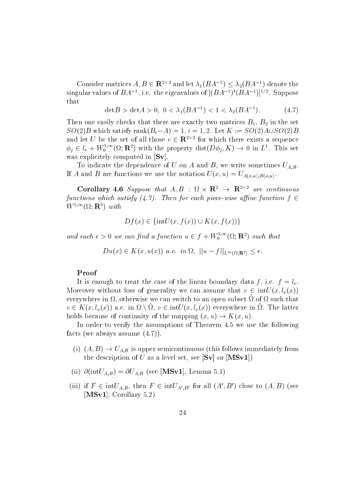Consider matrices  $A, B \in \mathbf{R}^{2 \times 2}$  and let  $\lambda_1(BA^{-1}) \leq \lambda_2(BA^{-1})$  denote the singular values of  $BA^{-1}$ , i.e. the eigenvalues of  $((BA^{-1})^{\epsilon}(BA^{-1})^{\epsilon})^{\epsilon}$ . Suppose that

$$
\det B > \det A > 0, \ 0 < \lambda_1 (BA^{-1}) < 1 < \lambda_2 (BA^{-1}).\tag{4.7}
$$

Then one easily checks that there are exactly two matrices  $B_1, B_2$  in the set  $SU(2)$ B which satisfy rank $(B_i - A) = 1$ ,  $i = 1, 2$ . Let  $K := SU(2)A \cup SU(2)B$ and let U be the set of all those  $v \in \mathbb{R}^{2 \times 2}$  for which there exists a sequence  $\phi_j \in l_v + W_0^{1,\infty}(\Omega; \mathbf{R}^2)$  with the property  $dist(D\phi_j, K) \to 0$  in  $L^1$ . This set was explicitely computed in  $[Sv]$ .

To indicate the dependence of U on A and B, we write sometimes  $U_{A,B}$ . If A and B are functions we use the notation  $U(x, u) = U_{A(x, u), B(x, u)}$ .

**Corollary 4.6** Suppose that  $A, B$  :  $\Omega \times \mathbb{R}^2 \to \mathbb{R}^{2 \times 2}$  are continuous functions which satisfy  $(4.1)$ . Then for each piece-wise affine function  $f \in$  $W^{1,\infty}(\Omega;{\bf R}^2)$  with  $Df(x) \in \{intU(x, f(x)) \cup K(x, f(x))\}$ 

$$
Df(x) \in \{intU(x, f(x)) \cup K(x, f(x))\}
$$

and each  $\epsilon > 0$  we can find a function  $u \in f + W_0^{1,\infty}(\Omega; \mathbf{R}^2)$  such that

$$
Du(x)\in K(x,u(x))\ a.e.\ \ in\ \Omega,\ ||u-f||_{L^{\infty}(\Omega;\mathbf{R}^2)}\leq\epsilon.
$$

#### Proof

It is enough to treat the case of the linear boundary data f, i.e.  $f = l_v$ . Moreover without loss of generality we can assume that  $v \in \text{int}U(x, l_v(x))$ everywhere in  $\Omega$ , otherwise we can switch to an open subset  $\tilde{\Omega}$  of  $\Omega$  such that  $v \in \mathbf{A}(x, t_v(x))$  a.e. in  $u \setminus u, v \in \text{inv}(x, t_v(x))$  everywhere in  $u$ . The latter holds because of continuity of the mapping  $(x, u) \rightarrow K(x, u)$ .

In order to verify the assumptions of Theorem  $4.5$  we use the following facts (we always assume  $(4.7)$ ).

- (i)  $(A, B) \rightarrow U_{A,B}$  is upper semicontinuous (this follows immediately from the description of U as a level set, see  $[Sv]$  or  $[MSv1]$
- $\lambda$  intervals  $\Lambda$  in the  $\lambda$  intervals in the second intervals of  $\Lambda$  intervals in the  $\Lambda$
- (iii) if  $F \in \text{int}U_{A,B}$ , then  $F \in \text{int}U_{A',B'}$  for all  $(A',B')$  close to  $(A,B)$  (see [ $MSv1$ ], Corollary 5.2)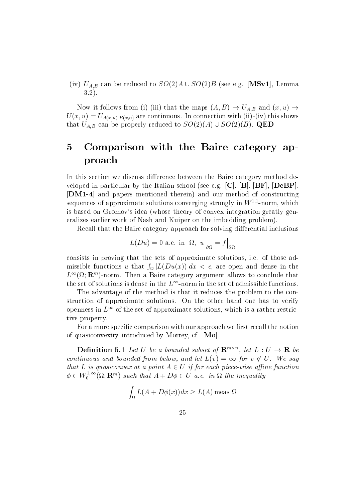(iv)  $U_{A,B}$  can be reduced to  $SO(2)A\cup SO(2)B$  (see e.g. [MSv1], Lemma  $3.2$ ).

Now it follows from (1)-(111) that the maps  $(A, D) \to U_{A,B}$  and  $(x, u) \to$  $U \cup U \subset V$  are continuous Indian connection with intervention with intervention with intervention with intervention  $U \cup V$ that  $U_{A,B}$  can be properly reduced to  $SO(2)(A) \cup SO(2)(B)$ . QED

#### Comparison with the Baire category ap  $\overline{5}$ proach

In this section we discuss difference between the Baire category method developed in particular by the Italian school (see e.g.  $\vert \mathbf{C} \vert, \vert \mathbf{B} \vert, \vert \mathbf{B} \mathbf{F} \vert, \vert \mathbf{DeBP} \vert,$ [DM1-4] and papers mentioned therein) and our method of constructing sequences of approximate solutions converging strongly in West-horm, which is based on Gromov's idea (whose theory of convex integration greatly generalizes earlier work of Nash and Kuiper on the imbedding problem

Recall that the Baire category approach for solving differential inclusions

and the contract of the contract of the contract of the contract of the contract of the contract of the contract of the contract of the contract of the contract of the contract of the contract of the contract of the contra

and the contract of the contract of the contract of the contract of the contract of the contract of the contract of the contract of the contract of the contract of the contract of the contract of the contract of the contra

$$
L(Du) = 0
$$
 a.e. in  $\Omega$ ,  $u\big|_{\partial\Omega} = f\big|_{\partial\Omega}$ 

consists in proving that the sets of approximate solutions, i.e. of those admissible functions u that  $\int_{\Omega}|L(Du(x))|dx < \epsilon$ , are open and dense in the  $L^{\infty}(\Omega;\mathbf{R}^m)$ -norm. Then a Baire category argument allows to conclude that the set of solutions is dense in the  $L^{\infty}$ -norm in the set of admissible functions.

The advantage of the method is that it reduces the problem to the construction of approximate solutions. On the other hand one has to verify openness in  $L^{\infty}$  of the set of approximate solutions, which is a rather restrictive property

For a more specific comparison with our approach we first recall the notion of quasiconvexity introduced by Morrey, cf.  $[Mo]$ .

**Definition 5.1** Let U be a bounded subset of  $\mathbf{R}^{m \times n}$ , let  $L: U \rightarrow \mathbf{R}$  be continuous and bounded from below, and let  $L(v) = \infty$  for  $v \notin U$ . We say that  $L$  is quasiconvex at a point  $A \in U$  if for each piece-wise affine function  $\phi \in W_0^{1,\infty}(\Omega; \mathbf{R}^m)$  such that  $A + D\phi \in U$  a.e. in  $\Omega$  the inequality

$$
\int_{\Omega} L(A + D\phi(x))dx \ge L(A) \text{ meas } \Omega
$$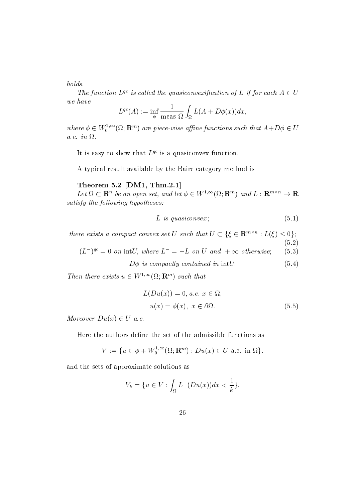$holds.$ 

The function  $L^{qc}$  is called the quasiconvexification of L if for each  $A \in U$ we have

$$
L^{qc}(A) := \inf_{\phi} \frac{1}{\text{meas }\Omega} \int_{\Omega} L(A + D\phi(x))dx,
$$

where  $\phi \in W_0^{1,\infty}(\Omega;\mathbf{R}^m)$  are piece-wise affine functions such that  $A+D\phi \in U$ a.e. in  $\Omega$ .

It is easy to show that  $L^{qc}$  is a quasiconvex function.

A typical result available by the Baire category method is

#### Theorem 5.2  $[DM1, Thm.2.1]$

Let  $\Omega \subset \mathbf{R}^n$  be an open set, and let  $\phi \in W^{1,\infty}(\Omega;\mathbf{R}^m)$  and  $L: \mathbf{R}^{m \times n} \to \mathbf{R}$ satisfy the following hypotheses:

$$
L \ \ is \ quasiconvex \, ; \qquad \qquad (5.1)
$$

L is quasiconvex; (5.1)<br>
there exists a compact convex set U such that  $U \subset {\{\xi \in \mathbf{R}^{m \times n} : L(\xi) \leq 0\}}$ :

 $(5.2)$ 

 $(L^{-1})^{q_{\mathcal{C}}} = 0$  on intl, where  $L^{-} = -L$  on U and  $+\infty$  otherwise; (5.3)

 $D\phi$  is compactly contained in intU. (5.4)

Then there exists  $u \in W^{1,\infty}(\Omega; \mathbf{R}^m)$  such that

$$
L(Du(x)) = 0, a.e. x \in \Omega,
$$
  

$$
u(x) = \phi(x), x \in \partial\Omega.
$$
 (5.5)

Moreover  $Du(x) \in U$  a.e.

Here the authors define the set of the admissible functions as

$$
V := \{ u \in \phi + W_0^{1,\infty}(\Omega; \mathbf{R}^m) : Du(x) \in U \text{ a.e. in } \Omega \}.
$$

and the sets of approximate solutions as

$$
V_k = \{ u \in V : \int_{\Omega} L^-(Du(x))dx < \frac{1}{k} \}.
$$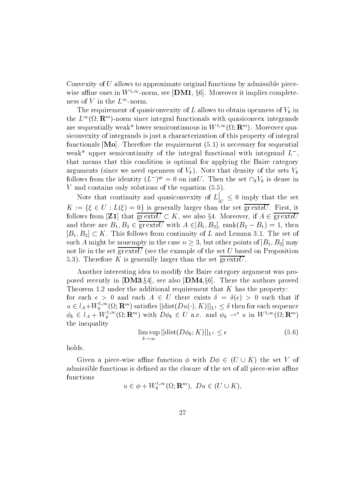Convexity of  $U$  allows to approximate original functions by admissible piecewise affine ones in  $W^{1,\infty}$ -norm, see  $|\mathbf{DM1}, \S6|$ . Moreover it implies completeness of  $V$  in the  $L^\infty\operatorname{-norm}.$ 

The requirement of quasiconvexity of  $L$  allows to obtain openness of  $V_k$  in the  $L^{\infty}(\Omega;\mathbb{R}^m)$ -norm since integral functionals with quasiconvex integrands are sequentially weak\* lower semicontinuous in  $W^{1,\infty}(\Omega;\mathbf{R}^m)$ . Moreover quasiconvexity of integrands is just a characterization of this property of integral functionals Mo Therefore the requirement  is necessary for sequential weak<sup>\*</sup> upper semicontinuity of the integral functional with integrand  $L^-$ , that means that this condition is optimal for applying the Baire category arguments (since we need openness of  $V_k$ ). Note that density of the sets  $V_k$ follows from the identity  $(L^-)^{qc} = 0$  on int $U$ . Then the set  $\bigcap_k V_k$  is dense in  $V$  and contains only solutions of the equation  $(5.5)$ .

Note that continuity and quasiconvexity and quasiconvexity of Lie and Quasiconvexity of Lie and Quasiconvexity  $\Big|_U \leq 0$  imply that the set  $K := \{\xi \in U : L(\xi) = 0\}$  is generally larger than the set  $\overline{\text{gr}\,\text{extr}U}$ . First, it follows from [**Z1**] that  $\overline{\text{gr}\text{ extr}}\overline{U} \subset K$ , see also §4. Moreover, if  $A \in \overline{\text{gr}\text{ extr}}\overline{U}$ and there are  $D_1, D_2 \in \text{gr}$  extr $U$  with  $A \in ]D_1, D_2[,$  rank $(D_2 - D_1) = 1,$  then  $|B_1, B_2| \subset \Lambda$  . This follows from continuity of L and Lemma 5.1. The set of such A might be nonempty in the case  $n \geq 3$ , but other points of  $B_1, B_2$  may not lie in the set  $\overline{\text{gr}\text{extr}U}$  (see the example of the set U based on Proposition 5.3). Therefore K is generally larger than the set  $\overline{\text{gr}\text{extr}U}$ .

Another interesting idea to modify the Baire category argument was proposed recently in  $|\text{DM3}_{84}|$ , see also  $|\text{DM4}_{86}|$ . There the authors proved Theorem is the additional requirement that K has the additional requirement that K has the property of the property for each  $\epsilon > 0$  and each  $A \in U$  there exists  $\theta = \theta(\epsilon) > 0$  such that if  $u\in l_A+W_0^{1,\infty}(\Omega;\mathbf{R}^m)$  satisfies  $||\mathrm{dist}(Du(\cdot),K)||_{L^1}\leq \delta$  then for each sequence  $\phi_k \in l_A + W_0^{1,\infty}(\Omega; \mathbf{R}^m)$  with  $D\phi_k \in U$  a.e. and  $\phi_k \rightharpoonup^* u$  in  $W^{1,\infty}(\Omega; \mathbf{R}^m)$ the inequality

$$
\limsup_{k \to \infty} ||\text{dist}(D\phi_k; K)||_{L^1} \le \epsilon \tag{5.6}
$$

holds

Given a piece-wise annie function  $\varphi$  with  $D\varphi \in (U \cup K)$  the set V of admissible functions is denoted as the closure of the set of the set of the piece- with the set of all piecefunctions

 $u \in \phi + W_0^{1,\infty}(\Omega; \mathbf{R}^m)$ ,  $Du \in (U \cup K)$ ,

-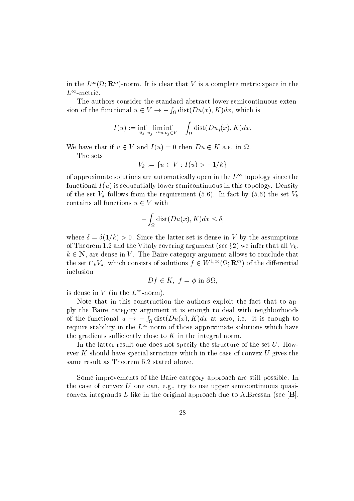in the  $L^{\infty}(\Omega; \mathbf{R}^m)$ -norm. It is clear that V is a complete metric space in the  $L^\infty$ -metric.

The authors consider the standard abstract lower semicontinuous extension of the functional  $u \in V \to -\int_{\Omega} dist(Du(x), K)dx$ , which is

$$
I(u) := \inf_{u_j} \liminf_{u_j \to *u, u_j \in V} - \int_{\Omega} \text{dist}(Du_j(x), K) dx.
$$

We have that if  $u \in V$  and  $I(u) = 0$  then  $Du \in K$  a.e. in  $\Omega$ .

The sets

$$
V_k := \{ u \in V : I(u) > -1/k \}
$$

of approximate solutions are automatically open in the  $L^{\infty}$  topology since the functional  $I(u)$  is sequentially lower semicontinuous in this topology. Density of the set  $V_k$  follows from the requirement (5.6). In fact by (5.6) the set  $V_k$ contains all functions  $u \in V$  with

$$
-\int_{\Omega} \text{dist}(Du(x),K)dx \le \delta,
$$

 $-\int_{\Omega} \text{dist}(Du(x), \mathbf{A}) dx \leq 0,$ <br>where  $\delta = \delta(1/k) > 0$ . Since the latter set is dense in V by the assumptions of Theorem 1.2 and the Vitaly covering argument (see  $\S{2}$ ) we infer that all  $V_k,$  $k \in \mathbb{N}$ , are dense in V. The Baire category argument allows to conclude that the set  $\bigcap_k V_k$ , which consists of solutions  $f \in W^{1,\infty}(\Omega;\mathbb{R}^m)$  of the differential inclusion

$$
Df \in K, f = \phi \text{ in } \partial \Omega,
$$

is dense in V (in the  $L^\infty\text{-norm}$ ).

Note that in this construction the authors exploit the fact that to apply the Baire category argument it is enough to deal with neighborhoods of the functional  $u \to -\int_{\Omega} dist(Du(x), K)dx$  at zero, i.e. it is enough to require stability in the  $L^{\infty}$ -norm of those approximate solutions which have the gradients sufficiently close to  $K$  in the integral norm.

In the latter result one does not specify the structure of the set  $U$ . However K should have special structure which in the case of convex  $U$  gives the same result as Theorem 5.2 stated above.

Some improvements of the Baire category approach are still possible. In the case of convex  $U$  one can, e.g., try to use upper semicontinuous quasiconvex integrands L like in the original approach due to A.Bressan (see  $[B]$ ,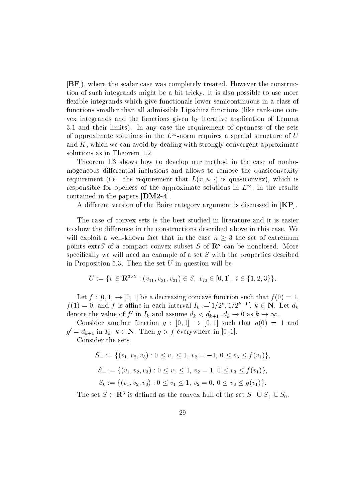[BF]), where the scalar case was completely treated. However the construction of such integrands might be a bit tricky It is also possible to use more flexible integrands which give functionals lower semicontinuous in a class of functions smaller than all admissible Lipschitz functions like rank-one convex integrands and the functions given by iterative application of Lemma and the requirements in any case the requirement of the requirement of the sets of opening of  $\mathbf{r}$ of approximate solutions in the  $L^{\infty}$ -norm requires a special structure of U and  $K$ , which we can avoid by dealing with strongly convergent approximate

Theorem shows how to develop our method in the case of nonhomogeneous differential inclusions and allows to remove the quasiconvexity requirement (i.e. the requirement that  $L(x, u, \cdot)$  is quasiconvex), which is responsible for openess of the approximate solutions in  $L^{\infty}$ , in the results contained in the papers  $\text{[DM2-4]}$ .

A different version of the Baire category argument is discussed in  $|KP|$ .

The case of convex sets is the best studied in literature and it is easier to show the difference in the constructions described above in this case. We will exploit a well-known fact that in the case  $n > 3$  the set of extremum points extr $\beta$  of a compact convex subset  $\beta$  of  ${\bf R}^n$  can be nonclosed. More specifically we will need an example of a set  $S$  with the properties desribed in Proposition 5.3. Then the set  $U$  in question will be e<br>  $\vdots$   $i \in \{1, 2, \ldots, n\}$ 

$$
U := \{ v \in \mathbf{R}^{3 \times 2} : (v_{11}, v_{21}, v_{31}) \in S, \ v_{i2} \in [0, 1], \ i \in \{1, 2, 3\} \}.
$$

Let  $f : [0, 1] \rightarrow [0, 1]$  be a decreasing concave function such that  $f(0) = 1$ ,  $f(1) = 0$ , and f is affine in each interval  $I_k := [1/2^{\kappa}, 1/2^{\kappa-1}], k \in \mathbb{N}$ . Let  $d_k$ denote the value of  $f'$  in  $I_k$  and assume  $d_k < d_{k+1}$ ,  $d_k \to 0$  as  $k \to \infty$ .

Consider another function  $q: [0,1] \rightarrow [0,1]$  such that  $q(0) = 1$  and  $g' = d_{k+1}$  in  $I_k, k \in \mathbb{N}$ . Then  $g > f$  everywhere in [0, 1].

Consider the sets

$$
S_{-} := \{ (v_1, v_2, v_3) : 0 \le v_1 \le 1, v_2 = -1, 0 \le v_3 \le f(v_1) \},
$$
  
\n
$$
S_{+} := \{ (v_1, v_2, v_3) : 0 \le v_1 \le 1, v_2 = 1, 0 \le v_3 \le f(v_1) \},
$$
  
\n
$$
S_{0} := \{ (v_1, v_2, v_3) : 0 \le v_1 \le 1, v_2 = 0, 0 \le v_3 \le g(v_1) \}.
$$

The set  $S \subset \mathbf{R}^*$  is defined as the convex hull of the set  $S = \cup S_+ \cup S_0$ .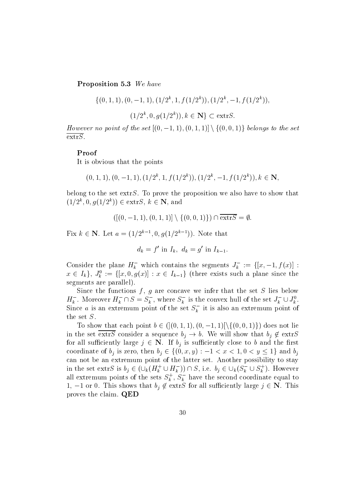Proposition 5.3 We have

$$
\{(0, 1, 1), (0, -1, 1), (1/2^k, 1, f(1/2^k)), (1/2^k, -1, f(1/2^k)),
$$
  

$$
(1/2^k, 0, g(1/2^k)), k \in \mathbb{N}\} \subset \text{extr}S.
$$
  
*However no point of the set*  $[(0, -1, 1), (0, 1, 1)] \setminus \{(0, 0, 1)\}$  belongs to the set

 $\overline{\text{extrS}}$ .

#### Proof

It is obvious that the points

$$
(0, 1, 1), (0, -1, 1), (1/2k, 1, f(1/2k)), (1/2k, -1, f(1/2k)), k \in \mathbb{N},
$$

belong to the set  $\text{extrS} S$ . To prove the proposition we also have to show that  $(1/2^{\degree}, 0, q(1/2^{\degree})) \in \text{extr}S, \; \kappa \in \mathbb{N}, \; \text{and}$ and<br>  $|| \setminus \{(0, 0, 1)\}\rangle$ 

$$
([(0,-1,1),(0,1,1)] \setminus \{(0,0,1)\}) \cap \overline{\text{extrS}} = \emptyset.
$$

Fix  $k \in \mathbb{N}$ . Let  $a = (1/2^{k-1}, 0, q(1/2^{k-1}))$ . Note that

$$
d_k = f' \text{ in } I_k, \ d_k = g' \text{ in } I_{k-1}.
$$

Consider the plane  $H_k^-$  which contains the segments  $J_k^- := \{ [x, -1, f(x)] :$  $x \in I_k$ ,  $J_k := \{ [x, 0, g(x)] : x \in I_{k-1} \}$  (there exists such a plane since the segments are parallel

Since the functions  $f, g$  are concave we infer that the set S lies below  $H_k^{\perp}$ . Moreover  $H_k^{\perp} \cap S = S_k^{\perp}$ , where  $S_k^{\perp}$  is the convex hull of the set  $J_k^{\perp} \cup J_k^{\perp}$ . Since a is an extremum point of the set  $S_k^-$  it is also an extremum point of the set S

To show that each point  $b \in \{[(0,1,1), (0,-1,1)]\}\{[(0,0,1)\}\}$  does not lie in the set extr $S$  consider a sequence  $\sigma_j \to \sigma$ . We will show that  $\sigma_j \not\in \text{extr}S$ for all sufficiently large  $j \in \mathbb{N}$ . If  $b_j$  is sufficiently close to b and the first in the set  $\overline{\text{extrs}}$  consider a sequence  $b_j \to b$ . We<br>for all sufficiently large  $j \in \mathbb{N}$ . If  $b_j$  is sufficien<br>coordinate of  $b_j$  is zero, then  $b_i \in \{(0, x, y) : -1\}$  $x < 1, v < y \leq 1$  and  $v_i$ can not be an extremum point of the latter set Another possibility to stay coordinate of  $b_j$  is zero, then  $b_j \in \{(0, x, y) : -1 < x < 1, 0 < y \le 1\}$  and  $b_j$ <br>can not be an extremum point of the latter set. Another possibility to stay<br>in the set extrS is  $b_j \in (\bigcup_k (H_k^+ \cup H_k^-)) \cap S$ , i.e.  $b_j \in \bigcup_k (S_k^- \cup S_k^$ all extremum points of the sets  $S_k^{\tau}$ ,  $S_k^{\tau}$  have the second coordinate equal to 1,  $-1$  or 0. This shows that  $b_j \notin \text{extrS}$  for all sufficiently large  $j \in \mathbb{N}$ . This proves the claim. QED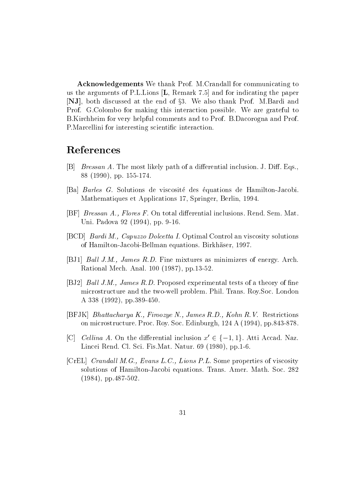Acknowledgements We thank Prof. M.Crandall for communicating to us the arguments of P.L.Lions  $[L,$  Remark 7.5 and for indicating the paper [NJ], both discussed at the end of §3. We also thank Prof. M.Bardi and Prof. G.Colombo for making this interaction possible. We are grateful to B. Kirchheim for very helpful comments and to Prof. B. Dacorogna and Prof. P. Marcellini for interesting scientific interaction.

## References

- $[B]$  Bressan A. The most likely path of a differential inclusion. J. Diff. Eqs.,  pp -
- Ba Barles G Solutions de viscosite des equations de Hamilton-Jacobi wathematic in the separation is the property of the springer  $\mathcal{S}$  is the set of  $\mathcal{S}$
- [BF]  $Bressan A$ ., Flores F. On total differential inclusions. Rend. Sem. Mat.  $\sim$  0.000  $\sim$  0.000  $\sim$  0.000  $\sim$  0.000  $\sim$  0.000  $\sim$  0.000  $\sim$  0.000  $\sim$
- [BCD] Bardi M., Capuzzo Dolcetta I. Optimal Control an viscosity solutions of Hamilton-Jacobi-Bellman equations Birkh aser
- BJ Bal l JM James RD Fine mixtures as minimizers of energy Arch  $\sim$  0.000  $\sim$  - 0.000  $\sim$  0.000  $\sim$  0.000  $\sim$  0.000  $\sim$  0.000  $\sim$  0.000  $\sim$  0.000  $\sim$  0.000  $\sim$  0.000  $\sim$  0.000  $\sim$  0.000  $\sim$  0.000  $\sim$  0.000  $\sim$  0.000  $\sim$  0.000  $\sim$  0.000  $\sim$  0.000  $\sim$  0.000  $\sim$  0.000
- [BJ2] *Ball J.M., James R.D.* Proposed experimental tests of a theory of fine microstructure and the two-well problem Phil Trans RoySoc London A  pp-
- $[BFJK]$  Bhattacharya K., Firoozye N., James R.D., Kohn R.V. Restrictions on microstructure Proc Roy Soc Edinburgh A  pp-
- [C] Celling A. On the differential inclusion  $x' \in \{-1,1\}$ . Atti Accad. Naz. lince and client control of the control of the control of the control of the control of the control of the con
- [CrEL] Crandall M.G., Evans L.C., Lions P.L. Some properties of viscosity solutions of Hamilton-Society and American Society Transfer America, 2007 - 2008  $p$  - and  $p$  - and  $p$  - and  $p$  - and  $p$  -  $p$  -  $p$  -  $p$  -  $p$  -  $p$  -  $p$  -  $p$  -  $p$  -  $p$  -  $p$  -  $p$  -  $p$  -  $p$  -  $p$  -  $p$  -  $p$  -  $p$  -  $p$  -  $p$  -  $p$  -  $p$  -  $p$  -  $p$  -  $p$  -  $p$  -  $p$  -  $p$  -  $p$  -  $p$  -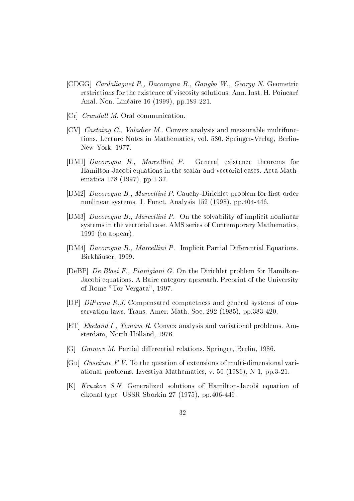- [CDGG] Cardaliaguet P., Dacorogna B., Gangbo W., Georgy N. Geometric restrictions for the existence of viscosity solutions. Ann. Inst. H. Poincaré Anal Non Lineaire  pp -
- $[Cr]$  *Crandall M.* Oral communication.
- [CV] *Castaing C., Valadier M.*. Convex analysis and measurable multifunctions Lecture Notes in Mathematics vol Springer-Verlag Berlin-New York and the contract of the contract of the contract of the contract of the contract of the contract of t
- [DM1] *Dacorogna B.*, *Marcellini P.* General existence theorems for Hamilton-Jacobi equations in the scalar and vectorial cases Acta Mathematica este este en la partida de la partida de la partida de la partida de la partida de la partida de la pa
- DM Dacorogna B Marcel lini P Cauchy-Dirichlet problem for rst order nonlinear systems J Funct Analysis  pp-
- [DM3] *Dacorogna B., Marcellini P.* On the solvability of implicit nonlinear systems in the vectorial case AMS series of Contemporary Mathematics to a possible contract of the contract of the contract of the contract of the contract of the contract of the contract of the contract of the contract of the contract of the contract of the contract of the contract of the
- [DM4] *Dacorogna B., Marcellini P.* Implicit Partial Differential Equations. Birkh aus der Einstein aus der Einstein aus der Einstein aus der Einstein aus der Einstein aus der Einstein au
- [DeBP] De Blasi F., Pianigiani G. On the Dirichlet problem for Hamilton-Jacobi equations. A Baire category approach. Preprint of the University  $\mathbb{R}$  and  $\mathbb{R}$  are  $\mathbb{R}$  . The  $\mathbb{R}$  and  $\mathbb{R}$  are  $\mathbb{R}$  and  $\mathbb{R}$  are  $\mathbb{R}$  and  $\mathbb{R}$  are  $\mathbb{R}$  and  $\mathbb{R}$  are  $\mathbb{R}$  and  $\mathbb{R}$  are  $\mathbb{R}$  and  $\mathbb{R}$  are  $\mathbb{R}$  and  $\mathbb{R}$  ar
- $[DP]$  DiPerna R.J. Compensated compactness and general systems of conservation laws Trans American laws Trans American laws American laws American laws American laws American laws
- $[ET]$  Ekeland I., Temam R. Convex analysis and variational problems. Amsterdam Northern Steam Anders and the steam of the steam of the steam of the steam of the steam of the steam o
- G Gromov M Partial dierential relations Springer Berlin
- Gu Guseinov FV To the question of extensions of multi-dimensional variational problems in the specific mathematics is the set of  $\mathcal{A}$  , which is the problems of  $\mathcal{B}$
- K Kruzkov SN Generalized solutions of Hamilton-Jacobi equation of eikonal type USSR Sborking Collection  $\mathcal{L}$  , which is pp-then  $\mathcal{L}$  . The set of  $\mathcal{L}$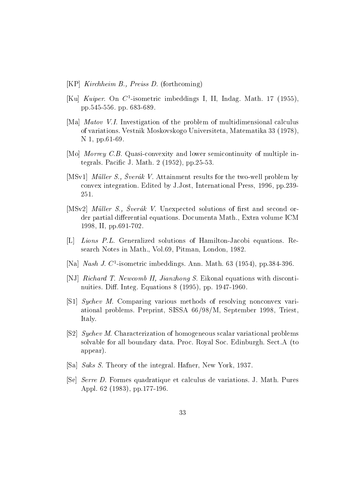- $[KP]$  Kirchheim B., Preiss D. (forthcoming)
- $\lVert \mathbf{A} \rVert$   $\boldsymbol{a}$  and  $\boldsymbol{b}$  isometric imbeddings 1, 11, Indag. Math. 17 (1999), pp- pp -
- [Ma] *Matov V.I.* Investigation of the problem of multidimensional calculus of variations Vestnik Moskovskogo Universiteta Matematika  N 2008 - N 2008 - N 2008 - N 2008 - N 2008 - N 2008 - N 2008 - N 2008 - N 2008 - N 2008 - N 2008 - N 2008 - N
- Mo Morrey CB Quasi-convexity and lower semicontinuity of multiple integrals Pacic J Math  pp-
- $\mu$   $\mu$   $\mu$  and  $\mu$ ,  $\mu$   $\mu$  and  $\mu$  are the two-well problem by convex integration experiment integration experiment in the press of the press  $\mu$  Jost Integrational Press in the press of the press of the press of the press of the press of the press of the press of the press of the pr 251.
- [MSv2] Müller S., Sverák V. Unexpected solutions of first and second order partial differential equations. Documenta Math., Extra volume ICM II provided a contract to the contract of the contract of the contract of the contract of the contract of the c
- L Lions PL Generalized solutions of Hamilton-Jacobi equations Research Notes in Math Voltage in Math Vol Pitman London London London London London London London London London
- [Na] *Nash J.* C -isometric impeddings. Ann. Math. 05 (1954), pp.584-590.
- [NJ] Richard T. Newcomb II, Jianzhong S. Eikonal equations with discontinuities Di Integ Equations  pp -
- sychev M Comparing variation in the resolving nonconvex variational problems Preprint Sistem Preprint Sistem Preprint Sistem Preprint Sistem Preprint Sistem Preprint Sistem Pre Italy
- $[S2]$  Sychev M. Characterization of homogeneous scalar variational problems solvable for all boundary data. Proc. Royal Soc. Edinburgh. Sect.A (to appear
- Sa Saks S Theory of the integral Hafner New York
- [Se] *Serre D.* Formes quadratique et calculus de variations. J. Math. Pures Appl  pp -